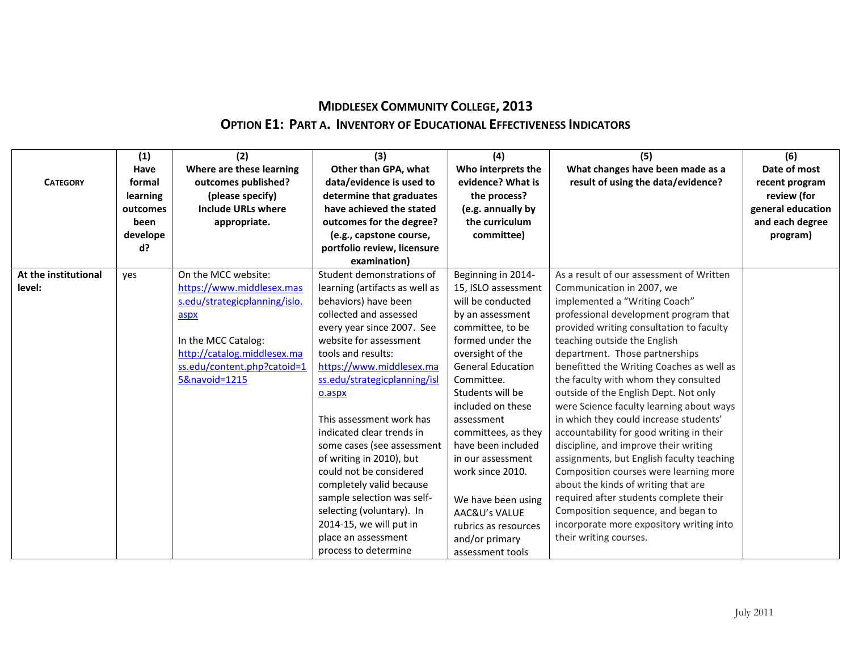## **MIDDLESEX COMMUNITY COLLEGE, 2013 OPTION E1: PART A. INVENTORY OF EDUCATIONAL EFFECTIVENESS INDICATORS**

| <b>CATEGORY</b>      | (1)<br>Have<br>formal<br>learning<br>outcomes<br>been<br>develope<br>d? | (2)<br>Where are these learning<br>outcomes published?<br>(please specify)<br><b>Include URLs where</b><br>appropriate. | (3)<br>Other than GPA, what<br>data/evidence is used to<br>determine that graduates<br>have achieved the stated<br>outcomes for the degree?<br>(e.g., capstone course,<br>portfolio review, licensure | (4)<br>Who interprets the<br>evidence? What is<br>the process?<br>(e.g. annually by<br>the curriculum<br>committee) | (5)<br>What changes have been made as a<br>result of using the data/evidence? | (6)<br>Date of most<br>recent program<br>review (for<br>general education<br>and each degree<br>program) |
|----------------------|-------------------------------------------------------------------------|-------------------------------------------------------------------------------------------------------------------------|-------------------------------------------------------------------------------------------------------------------------------------------------------------------------------------------------------|---------------------------------------------------------------------------------------------------------------------|-------------------------------------------------------------------------------|----------------------------------------------------------------------------------------------------------|
|                      |                                                                         |                                                                                                                         | examination)                                                                                                                                                                                          |                                                                                                                     |                                                                               |                                                                                                          |
| At the institutional | yes                                                                     | On the MCC website:                                                                                                     | Student demonstrations of                                                                                                                                                                             | Beginning in 2014-                                                                                                  | As a result of our assessment of Written                                      |                                                                                                          |
| level:               |                                                                         | https://www.middlesex.mas                                                                                               | learning (artifacts as well as                                                                                                                                                                        | 15, ISLO assessment                                                                                                 | Communication in 2007, we                                                     |                                                                                                          |
|                      |                                                                         | s.edu/strategicplanning/islo.                                                                                           | behaviors) have been                                                                                                                                                                                  | will be conducted                                                                                                   | implemented a "Writing Coach"                                                 |                                                                                                          |
|                      |                                                                         | aspx                                                                                                                    | collected and assessed                                                                                                                                                                                | by an assessment                                                                                                    | professional development program that                                         |                                                                                                          |
|                      |                                                                         |                                                                                                                         | every year since 2007. See                                                                                                                                                                            | committee, to be                                                                                                    | provided writing consultation to faculty                                      |                                                                                                          |
|                      |                                                                         | In the MCC Catalog:                                                                                                     | website for assessment                                                                                                                                                                                | formed under the                                                                                                    | teaching outside the English                                                  |                                                                                                          |
|                      |                                                                         | http://catalog.middlesex.ma                                                                                             | tools and results:                                                                                                                                                                                    | oversight of the                                                                                                    | department. Those partnerships                                                |                                                                                                          |
|                      |                                                                         | ss.edu/content.php?catoid=1                                                                                             | https://www.middlesex.ma                                                                                                                                                                              | <b>General Education</b>                                                                                            | benefitted the Writing Coaches as well as                                     |                                                                                                          |
|                      |                                                                         | 5&navoid=1215                                                                                                           | ss.edu/strategicplanning/isl                                                                                                                                                                          | Committee.                                                                                                          | the faculty with whom they consulted                                          |                                                                                                          |
|                      |                                                                         |                                                                                                                         | o.aspx                                                                                                                                                                                                | Students will be                                                                                                    | outside of the English Dept. Not only                                         |                                                                                                          |
|                      |                                                                         |                                                                                                                         |                                                                                                                                                                                                       | included on these                                                                                                   | were Science faculty learning about ways                                      |                                                                                                          |
|                      |                                                                         |                                                                                                                         | This assessment work has                                                                                                                                                                              | assessment                                                                                                          | in which they could increase students'                                        |                                                                                                          |
|                      |                                                                         |                                                                                                                         | indicated clear trends in                                                                                                                                                                             | committees, as they                                                                                                 | accountability for good writing in their                                      |                                                                                                          |
|                      |                                                                         |                                                                                                                         | some cases (see assessment                                                                                                                                                                            | have been included                                                                                                  | discipline, and improve their writing                                         |                                                                                                          |
|                      |                                                                         |                                                                                                                         | of writing in 2010), but                                                                                                                                                                              | in our assessment                                                                                                   | assignments, but English faculty teaching                                     |                                                                                                          |
|                      |                                                                         |                                                                                                                         | could not be considered                                                                                                                                                                               | work since 2010.                                                                                                    | Composition courses were learning more                                        |                                                                                                          |
|                      |                                                                         |                                                                                                                         | completely valid because                                                                                                                                                                              |                                                                                                                     | about the kinds of writing that are                                           |                                                                                                          |
|                      |                                                                         |                                                                                                                         | sample selection was self-                                                                                                                                                                            | We have been using                                                                                                  | required after students complete their                                        |                                                                                                          |
|                      |                                                                         |                                                                                                                         | selecting (voluntary). In                                                                                                                                                                             | AAC&U's VALUE                                                                                                       | Composition sequence, and began to                                            |                                                                                                          |
|                      |                                                                         |                                                                                                                         | 2014-15, we will put in                                                                                                                                                                               | rubrics as resources                                                                                                | incorporate more expository writing into                                      |                                                                                                          |
|                      |                                                                         |                                                                                                                         | place an assessment                                                                                                                                                                                   | and/or primary                                                                                                      | their writing courses.                                                        |                                                                                                          |
|                      |                                                                         |                                                                                                                         | process to determine                                                                                                                                                                                  | assessment tools                                                                                                    |                                                                               |                                                                                                          |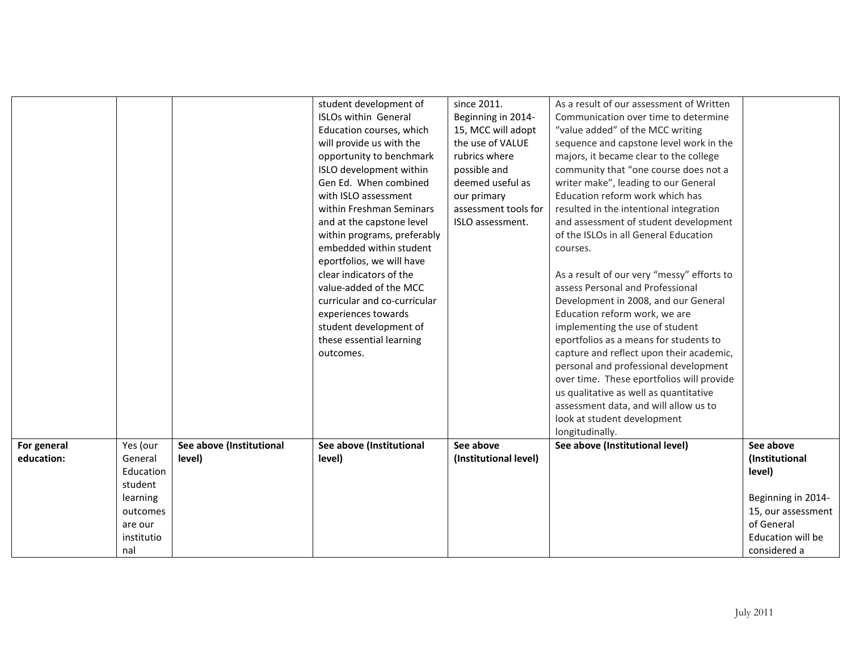|             |            |                          | student development of       | since 2011.           | As a result of our assessment of Written   |                    |
|-------------|------------|--------------------------|------------------------------|-----------------------|--------------------------------------------|--------------------|
|             |            |                          | <b>ISLOs within General</b>  | Beginning in 2014-    | Communication over time to determine       |                    |
|             |            |                          | Education courses, which     | 15, MCC will adopt    | "value added" of the MCC writing           |                    |
|             |            |                          | will provide us with the     | the use of VALUE      | sequence and capstone level work in the    |                    |
|             |            |                          | opportunity to benchmark     | rubrics where         | majors, it became clear to the college     |                    |
|             |            |                          | ISLO development within      | possible and          | community that "one course does not a      |                    |
|             |            |                          | Gen Ed. When combined        | deemed useful as      | writer make", leading to our General       |                    |
|             |            |                          | with ISLO assessment         | our primary           | Education reform work which has            |                    |
|             |            |                          | within Freshman Seminars     | assessment tools for  | resulted in the intentional integration    |                    |
|             |            |                          | and at the capstone level    | ISLO assessment.      | and assessment of student development      |                    |
|             |            |                          | within programs, preferably  |                       | of the ISLOs in all General Education      |                    |
|             |            |                          | embedded within student      |                       | courses.                                   |                    |
|             |            |                          | eportfolios, we will have    |                       |                                            |                    |
|             |            |                          | clear indicators of the      |                       | As a result of our very "messy" efforts to |                    |
|             |            |                          | value-added of the MCC       |                       | assess Personal and Professional           |                    |
|             |            |                          | curricular and co-curricular |                       | Development in 2008, and our General       |                    |
|             |            |                          | experiences towards          |                       | Education reform work, we are              |                    |
|             |            |                          | student development of       |                       | implementing the use of student            |                    |
|             |            |                          | these essential learning     |                       | eportfolios as a means for students to     |                    |
|             |            |                          | outcomes.                    |                       | capture and reflect upon their academic,   |                    |
|             |            |                          |                              |                       | personal and professional development      |                    |
|             |            |                          |                              |                       | over time. These eportfolios will provide  |                    |
|             |            |                          |                              |                       | us qualitative as well as quantitative     |                    |
|             |            |                          |                              |                       | assessment data, and will allow us to      |                    |
|             |            |                          |                              |                       | look at student development                |                    |
|             |            |                          |                              |                       | longitudinally.                            |                    |
| For general | Yes (our   | See above (Institutional | See above (Institutional     | See above             | See above (Institutional level)            | See above          |
| education:  | General    | level)                   | level)                       | (Institutional level) |                                            | (Institutional     |
|             | Education  |                          |                              |                       |                                            | level)             |
|             | student    |                          |                              |                       |                                            |                    |
|             | learning   |                          |                              |                       |                                            | Beginning in 2014- |
|             | outcomes   |                          |                              |                       |                                            | 15, our assessment |
|             | are our    |                          |                              |                       |                                            | of General         |
|             | institutio |                          |                              |                       |                                            | Education will be  |
|             | nal        |                          |                              |                       |                                            | considered a       |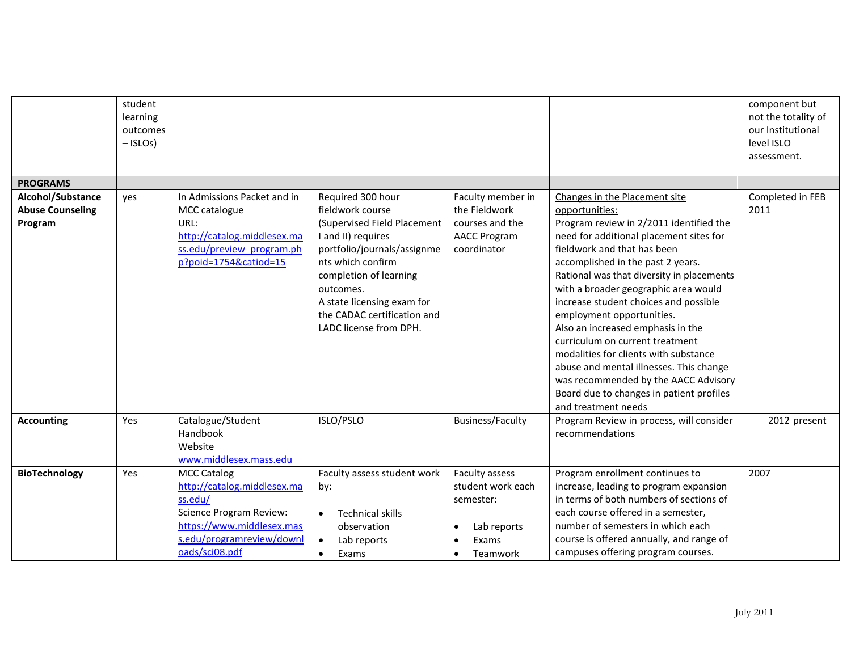|                         | student<br>learning<br>outcomes<br>$-$ ISLOs) |                                                          |                                                   |                                    |                                                                        | component but<br>not the totality of<br>our Institutional<br>level ISLO<br>assessment. |
|-------------------------|-----------------------------------------------|----------------------------------------------------------|---------------------------------------------------|------------------------------------|------------------------------------------------------------------------|----------------------------------------------------------------------------------------|
| <b>PROGRAMS</b>         |                                               |                                                          |                                                   |                                    |                                                                        |                                                                                        |
| Alcohol/Substance       | yes                                           | In Admissions Packet and in                              | Required 300 hour                                 | Faculty member in                  | Changes in the Placement site                                          | Completed in FEB                                                                       |
| <b>Abuse Counseling</b> |                                               | MCC catalogue                                            | fieldwork course                                  | the Fieldwork                      | opportunities:                                                         | 2011                                                                                   |
| Program                 |                                               | URL:                                                     | (Supervised Field Placement                       | courses and the                    | Program review in 2/2011 identified the                                |                                                                                        |
|                         |                                               | http://catalog.middlesex.ma<br>ss.edu/preview program.ph | I and II) requires<br>portfolio/journals/assignme | <b>AACC Program</b><br>coordinator | need for additional placement sites for<br>fieldwork and that has been |                                                                                        |
|                         |                                               | p?poid=1754&catiod=15                                    | nts which confirm                                 |                                    | accomplished in the past 2 years.                                      |                                                                                        |
|                         |                                               |                                                          | completion of learning                            |                                    | Rational was that diversity in placements                              |                                                                                        |
|                         |                                               |                                                          | outcomes.                                         |                                    | with a broader geographic area would                                   |                                                                                        |
|                         |                                               |                                                          | A state licensing exam for                        |                                    | increase student choices and possible                                  |                                                                                        |
|                         |                                               |                                                          | the CADAC certification and                       |                                    | employment opportunities.                                              |                                                                                        |
|                         |                                               |                                                          | LADC license from DPH.                            |                                    | Also an increased emphasis in the                                      |                                                                                        |
|                         |                                               |                                                          |                                                   |                                    | curriculum on current treatment                                        |                                                                                        |
|                         |                                               |                                                          |                                                   |                                    | modalities for clients with substance                                  |                                                                                        |
|                         |                                               |                                                          |                                                   |                                    | abuse and mental illnesses. This change                                |                                                                                        |
|                         |                                               |                                                          |                                                   |                                    | was recommended by the AACC Advisory                                   |                                                                                        |
|                         |                                               |                                                          |                                                   |                                    | Board due to changes in patient profiles<br>and treatment needs        |                                                                                        |
| <b>Accounting</b>       | Yes                                           | Catalogue/Student                                        | ISLO/PSLO                                         | <b>Business/Faculty</b>            | Program Review in process, will consider                               | 2012 present                                                                           |
|                         |                                               | Handbook                                                 |                                                   |                                    | recommendations                                                        |                                                                                        |
|                         |                                               | Website                                                  |                                                   |                                    |                                                                        |                                                                                        |
|                         |                                               | www.middlesex.mass.edu                                   |                                                   |                                    |                                                                        |                                                                                        |
| <b>BioTechnology</b>    | Yes                                           | <b>MCC Catalog</b>                                       | Faculty assess student work                       | Faculty assess                     | Program enrollment continues to                                        | 2007                                                                                   |
|                         |                                               | http://catalog.middlesex.ma                              | by:                                               | student work each                  | increase, leading to program expansion                                 |                                                                                        |
|                         |                                               | ss.edu/                                                  |                                                   | semester:                          | in terms of both numbers of sections of                                |                                                                                        |
|                         |                                               | <b>Science Program Review:</b>                           | <b>Technical skills</b><br>$\bullet$              |                                    | each course offered in a semester,                                     |                                                                                        |
|                         |                                               | https://www.middlesex.mas                                | observation                                       | Lab reports<br>$\bullet$           | number of semesters in which each                                      |                                                                                        |
|                         |                                               | s.edu/programreview/downl                                | Lab reports<br>$\bullet$                          | Exams                              | course is offered annually, and range of                               |                                                                                        |
|                         |                                               | oads/sci08.pdf                                           | Exams                                             | Teamwork<br>$\bullet$              | campuses offering program courses.                                     |                                                                                        |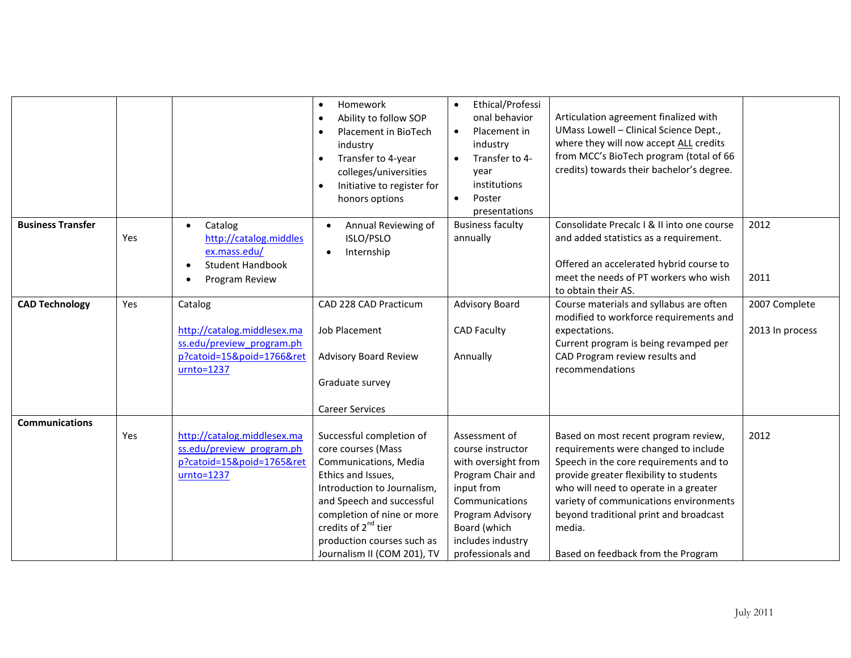| <b>Business Transfer</b> | Yes | Catalog<br>$\bullet$<br>http://catalog.middles<br>ex.mass.edu/<br><b>Student Handbook</b><br>Program Review      | Homework<br>$\bullet$<br>Ability to follow SOP<br>$\bullet$<br>Placement in BioTech<br>industry<br>Transfer to 4-year<br>$\bullet$<br>colleges/universities<br>Initiative to register for<br>$\bullet$<br>honors options<br>Annual Reviewing of<br>$\bullet$<br>ISLO/PSLO<br>Internship<br>$\bullet$ | Ethical/Professi<br>$\bullet$<br>onal behavior<br>Placement in<br>$\bullet$<br>industry<br>Transfer to 4-<br>year<br>institutions<br>$\bullet$<br>Poster<br>presentations<br><b>Business faculty</b><br>annually | Articulation agreement finalized with<br>UMass Lowell - Clinical Science Dept.,<br>where they will now accept ALL credits<br>from MCC's BioTech program (total of 66<br>credits) towards their bachelor's degree.<br>Consolidate Precalc I & II into one course<br>and added statistics as a requirement.<br>Offered an accelerated hybrid course to<br>meet the needs of PT workers who wish | 2012<br>2011                     |
|--------------------------|-----|------------------------------------------------------------------------------------------------------------------|------------------------------------------------------------------------------------------------------------------------------------------------------------------------------------------------------------------------------------------------------------------------------------------------------|------------------------------------------------------------------------------------------------------------------------------------------------------------------------------------------------------------------|-----------------------------------------------------------------------------------------------------------------------------------------------------------------------------------------------------------------------------------------------------------------------------------------------------------------------------------------------------------------------------------------------|----------------------------------|
|                          |     |                                                                                                                  |                                                                                                                                                                                                                                                                                                      |                                                                                                                                                                                                                  | to obtain their AS.                                                                                                                                                                                                                                                                                                                                                                           |                                  |
| <b>CAD Technology</b>    | Yes | Catalog<br>http://catalog.middlesex.ma<br>ss.edu/preview program.ph<br>p?catoid=15&poid=1766&ret<br>$urnto=1237$ | CAD 228 CAD Practicum<br>Job Placement<br><b>Advisory Board Review</b><br>Graduate survey<br><b>Career Services</b>                                                                                                                                                                                  | <b>Advisory Board</b><br><b>CAD Faculty</b><br>Annually                                                                                                                                                          | Course materials and syllabus are often<br>modified to workforce requirements and<br>expectations.<br>Current program is being revamped per<br>CAD Program review results and<br>recommendations                                                                                                                                                                                              | 2007 Complete<br>2013 In process |
| <b>Communications</b>    | Yes | http://catalog.middlesex.ma<br>ss.edu/preview program.ph<br>p?catoid=15&poid=1765&ret<br>$urnto=1237$            | Successful completion of<br>core courses (Mass<br>Communications, Media<br>Ethics and Issues,<br>Introduction to Journalism,<br>and Speech and successful<br>completion of nine or more<br>credits of 2 <sup>nd</sup> tier<br>production courses such as<br>Journalism II (COM 201), TV              | Assessment of<br>course instructor<br>with oversight from<br>Program Chair and<br>input from<br>Communications<br>Program Advisory<br>Board (which<br>includes industry<br>professionals and                     | Based on most recent program review,<br>requirements were changed to include<br>Speech in the core requirements and to<br>provide greater flexibility to students<br>who will need to operate in a greater<br>variety of communications environments<br>beyond traditional print and broadcast<br>media.<br>Based on feedback from the Program                                                | 2012                             |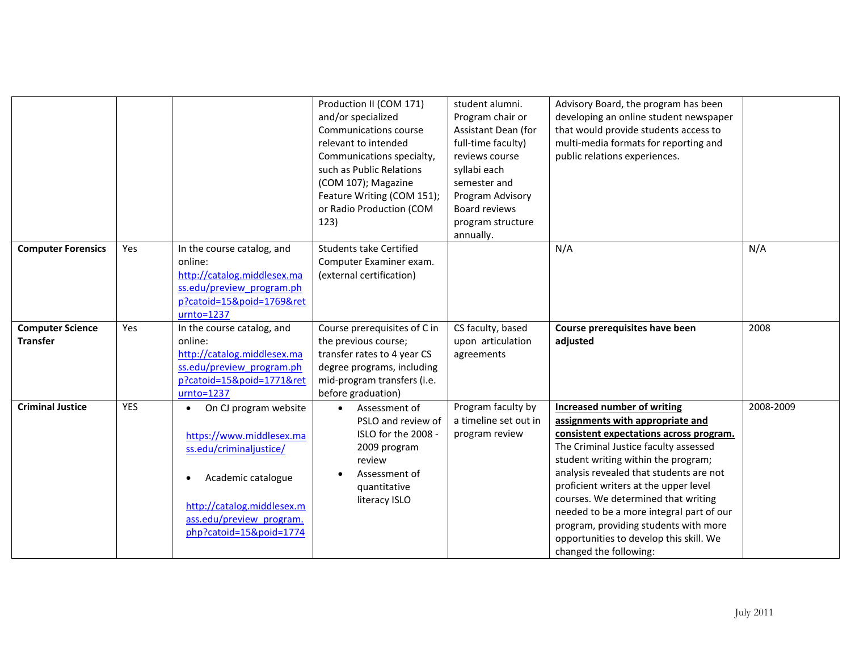|                                            |            |                                                                                                                                                                                         | Production II (COM 171)<br>and/or specialized<br>Communications course<br>relevant to intended<br>Communications specialty,<br>such as Public Relations<br>(COM 107); Magazine<br>Feature Writing (COM 151);<br>or Radio Production (COM<br>123) | student alumni.<br>Program chair or<br>Assistant Dean (for<br>full-time faculty)<br>reviews course<br>syllabi each<br>semester and<br>Program Advisory<br>Board reviews<br>program structure<br>annually. | Advisory Board, the program has been<br>developing an online student newspaper<br>that would provide students access to<br>multi-media formats for reporting and<br>public relations experiences.                                                                                                                                                                                                                                                                                      |           |
|--------------------------------------------|------------|-----------------------------------------------------------------------------------------------------------------------------------------------------------------------------------------|--------------------------------------------------------------------------------------------------------------------------------------------------------------------------------------------------------------------------------------------------|-----------------------------------------------------------------------------------------------------------------------------------------------------------------------------------------------------------|----------------------------------------------------------------------------------------------------------------------------------------------------------------------------------------------------------------------------------------------------------------------------------------------------------------------------------------------------------------------------------------------------------------------------------------------------------------------------------------|-----------|
| <b>Computer Forensics</b>                  | Yes        | In the course catalog, and<br>online:<br>http://catalog.middlesex.ma<br>ss.edu/preview program.ph<br>p?catoid=15&poid=1769&ret<br>$urnto=1237$                                          | <b>Students take Certified</b><br>Computer Examiner exam.<br>(external certification)                                                                                                                                                            |                                                                                                                                                                                                           | N/A                                                                                                                                                                                                                                                                                                                                                                                                                                                                                    | N/A       |
| <b>Computer Science</b><br><b>Transfer</b> | <b>Yes</b> | In the course catalog, and<br>online:<br>http://catalog.middlesex.ma<br>ss.edu/preview program.ph<br>p?catoid=15&poid=1771&ret<br>$urnto=1237$                                          | Course prerequisites of C in<br>the previous course;<br>transfer rates to 4 year CS<br>degree programs, including<br>mid-program transfers (i.e.<br>before graduation)                                                                           | CS faculty, based<br>upon articulation<br>agreements                                                                                                                                                      | Course prerequisites have been<br>adjusted                                                                                                                                                                                                                                                                                                                                                                                                                                             | 2008      |
| <b>Criminal Justice</b>                    | <b>YES</b> | On CJ program website<br>https://www.middlesex.ma<br>ss.edu/criminaljustice/<br>Academic catalogue<br>http://catalog.middlesex.m<br>ass.edu/preview program.<br>php?catoid=15&poid=1774 | Assessment of<br>PSLO and review of<br>ISLO for the 2008 -<br>2009 program<br>review<br>Assessment of<br>quantitative<br>literacy ISLO                                                                                                           | Program faculty by<br>a timeline set out in<br>program review                                                                                                                                             | <b>Increased number of writing</b><br>assignments with appropriate and<br>consistent expectations across program.<br>The Criminal Justice faculty assessed<br>student writing within the program;<br>analysis revealed that students are not<br>proficient writers at the upper level<br>courses. We determined that writing<br>needed to be a more integral part of our<br>program, providing students with more<br>opportunities to develop this skill. We<br>changed the following: | 2008-2009 |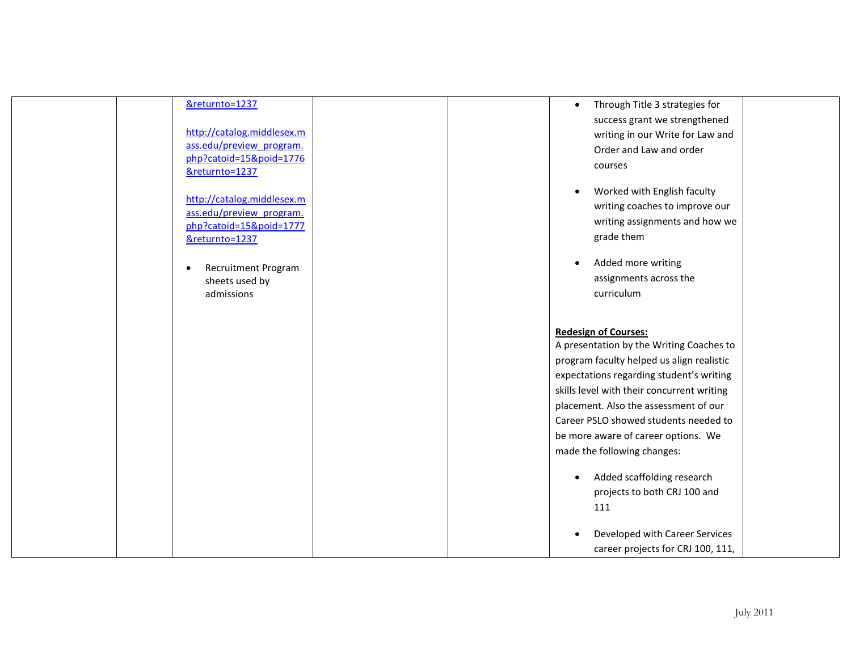| &returnto=1237<br>http://catalog.middlesex.m<br>ass.edu/preview program.<br>php?catoid=15&poid=1776<br>&returnto=1237<br>http://catalog.middlesex.m | Through Title 3 strategies for<br>$\bullet$<br>success grant we strengthened<br>writing in our Write for Law and<br>Order and Law and order<br>courses<br>Worked with English faculty<br>$\bullet$<br>writing coaches to improve our |  |
|-----------------------------------------------------------------------------------------------------------------------------------------------------|--------------------------------------------------------------------------------------------------------------------------------------------------------------------------------------------------------------------------------------|--|
| ass.edu/preview program.<br>php?catoid=15&poid=1777<br>&returnto=1237                                                                               | writing assignments and how we<br>grade them                                                                                                                                                                                         |  |
| <b>Recruitment Program</b><br>sheets used by<br>admissions                                                                                          | Added more writing<br>assignments across the<br>curriculum                                                                                                                                                                           |  |
|                                                                                                                                                     | <b>Redesign of Courses:</b><br>A presentation by the Writing Coaches to<br>program faculty helped us align realistic<br>expectations regarding student's writing                                                                     |  |
|                                                                                                                                                     | skills level with their concurrent writing<br>placement. Also the assessment of our<br>Career PSLO showed students needed to<br>be more aware of career options. We                                                                  |  |
|                                                                                                                                                     | made the following changes:<br>Added scaffolding research<br>projects to both CRJ 100 and                                                                                                                                            |  |
|                                                                                                                                                     | 111<br>Developed with Career Services<br>career projects for CRJ 100, 111,                                                                                                                                                           |  |
|                                                                                                                                                     |                                                                                                                                                                                                                                      |  |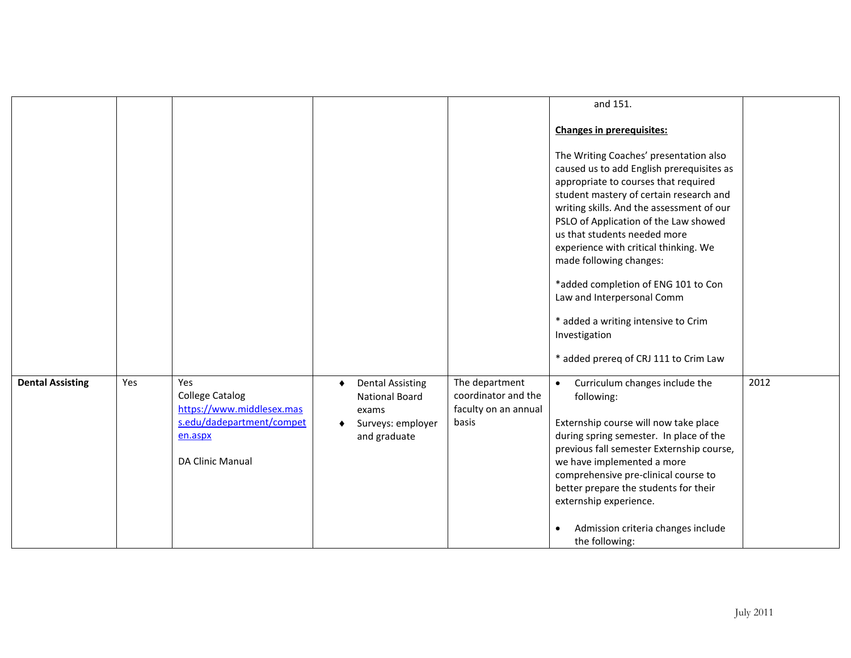|                         |     |                                                                                                                        |                                                                                              |                                                                        | and 151.                                                                                                                                                                                                                                                                                                                                                                                                                                                                                                                               |      |
|-------------------------|-----|------------------------------------------------------------------------------------------------------------------------|----------------------------------------------------------------------------------------------|------------------------------------------------------------------------|----------------------------------------------------------------------------------------------------------------------------------------------------------------------------------------------------------------------------------------------------------------------------------------------------------------------------------------------------------------------------------------------------------------------------------------------------------------------------------------------------------------------------------------|------|
|                         |     |                                                                                                                        |                                                                                              |                                                                        | <b>Changes in prerequisites:</b>                                                                                                                                                                                                                                                                                                                                                                                                                                                                                                       |      |
|                         |     |                                                                                                                        |                                                                                              |                                                                        | The Writing Coaches' presentation also<br>caused us to add English prerequisites as<br>appropriate to courses that required<br>student mastery of certain research and<br>writing skills. And the assessment of our<br>PSLO of Application of the Law showed<br>us that students needed more<br>experience with critical thinking. We<br>made following changes:<br>*added completion of ENG 101 to Con<br>Law and Interpersonal Comm<br>* added a writing intensive to Crim<br>Investigation<br>* added prereq of CRJ 111 to Crim Law |      |
| <b>Dental Assisting</b> | Yes | Yes<br><b>College Catalog</b><br>https://www.middlesex.mas<br>s.edu/dadepartment/compet<br>en.aspx<br>DA Clinic Manual | <b>Dental Assisting</b><br>٠<br>National Board<br>exams<br>Surveys: employer<br>and graduate | The department<br>coordinator and the<br>faculty on an annual<br>basis | Curriculum changes include the<br>following:<br>Externship course will now take place<br>during spring semester. In place of the<br>previous fall semester Externship course,<br>we have implemented a more<br>comprehensive pre-clinical course to<br>better prepare the students for their<br>externship experience.<br>Admission criteria changes include<br>$\bullet$<br>the following:                                                                                                                                            | 2012 |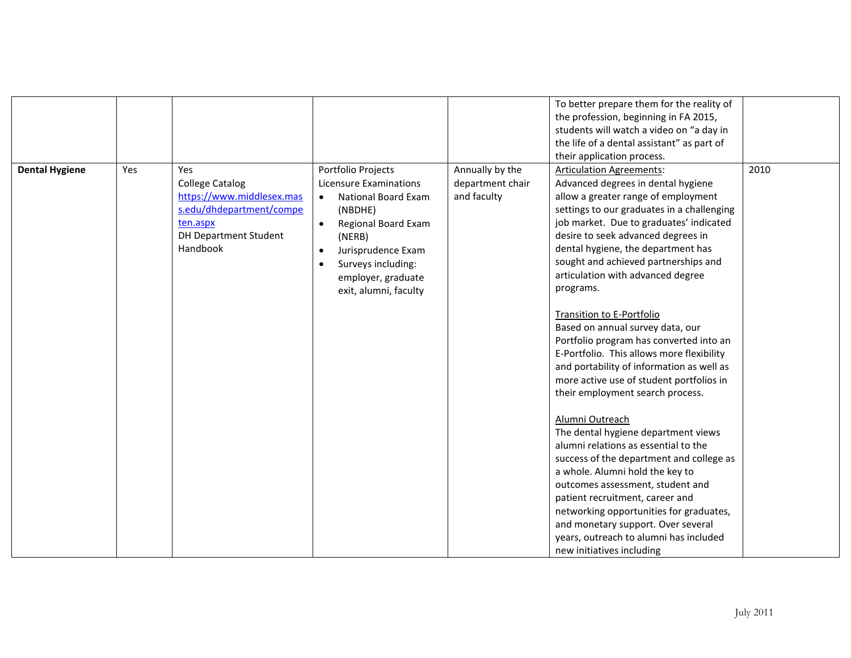|  |                                                                                                                             |                                                                                                                            |                                 | To better prepare them for the reality of                                                                                                                                                                                                                                                                                                                                                                    |  |
|--|-----------------------------------------------------------------------------------------------------------------------------|----------------------------------------------------------------------------------------------------------------------------|---------------------------------|--------------------------------------------------------------------------------------------------------------------------------------------------------------------------------------------------------------------------------------------------------------------------------------------------------------------------------------------------------------------------------------------------------------|--|
|  |                                                                                                                             |                                                                                                                            |                                 | the profession, beginning in FA 2015,                                                                                                                                                                                                                                                                                                                                                                        |  |
|  |                                                                                                                             |                                                                                                                            |                                 | students will watch a video on "a day in                                                                                                                                                                                                                                                                                                                                                                     |  |
|  |                                                                                                                             |                                                                                                                            |                                 | the life of a dental assistant" as part of                                                                                                                                                                                                                                                                                                                                                                   |  |
|  |                                                                                                                             |                                                                                                                            |                                 | their application process.                                                                                                                                                                                                                                                                                                                                                                                   |  |
|  | <b>College Catalog</b><br>https://www.middlesex.mas<br>s.edu/dhdepartment/compe<br>ten.aspx<br><b>DH Department Student</b> | Licensure Examinations<br><b>National Board Exam</b><br>$\bullet$<br>(NBDHE)<br>Regional Board Exam<br>$\bullet$<br>(NERB) | department chair<br>and faculty | Advanced degrees in dental hygiene<br>allow a greater range of employment<br>settings to our graduates in a challenging<br>job market. Due to graduates' indicated<br>desire to seek advanced degrees in                                                                                                                                                                                                     |  |
|  | Handbook                                                                                                                    | Jurisprudence Exam<br>Surveys including:<br>employer, graduate<br>exit, alumni, faculty                                    |                                 | dental hygiene, the department has<br>sought and achieved partnerships and<br>articulation with advanced degree<br>programs.                                                                                                                                                                                                                                                                                 |  |
|  |                                                                                                                             |                                                                                                                            |                                 | <b>Transition to E-Portfolio</b><br>Based on annual survey data, our<br>Portfolio program has converted into an<br>E-Portfolio. This allows more flexibility<br>and portability of information as well as<br>more active use of student portfolios in<br>their employment search process.                                                                                                                    |  |
|  |                                                                                                                             |                                                                                                                            |                                 | Alumni Outreach<br>The dental hygiene department views<br>alumni relations as essential to the<br>success of the department and college as<br>a whole. Alumni hold the key to<br>outcomes assessment, student and<br>patient recruitment, career and<br>networking opportunities for graduates,<br>and monetary support. Over several<br>years, outreach to alumni has included<br>new initiatives including |  |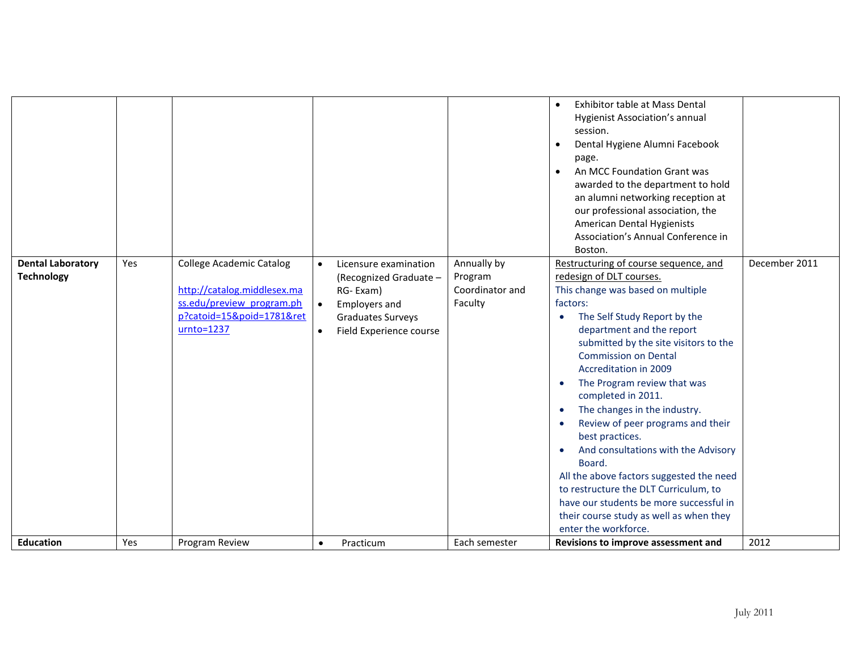| enter the workforce.<br>2012<br><b>Education</b><br>Yes<br>Program Review<br>Each semester<br>Revisions to improve assessment and<br>Practicum<br>$\bullet$ | <b>Dental Laboratory</b><br><b>Technology</b> | Yes | <b>College Academic Catalog</b><br>http://catalog.middlesex.ma<br>ss.edu/preview program.ph<br>p?catoid=15&poid=1781&ret<br>$urnto=1237$ | $\bullet$<br>$\bullet$<br>$\bullet$ | Licensure examination<br>(Recognized Graduate -<br>RG-Exam)<br><b>Employers and</b><br>Graduates Surveys<br>Field Experience course | Annually by<br>Program<br>Coordinator and<br>Faculty | <b>Exhibitor table at Mass Dental</b><br>$\bullet$<br>Hygienist Association's annual<br>session.<br>Dental Hygiene Alumni Facebook<br>$\bullet$<br>page.<br>An MCC Foundation Grant was<br>$\bullet$<br>awarded to the department to hold<br>an alumni networking reception at<br>our professional association, the<br>American Dental Hygienists<br>Association's Annual Conference in<br>Boston.<br>Restructuring of course sequence, and<br>redesign of DLT courses.<br>This change was based on multiple<br>factors:<br>The Self Study Report by the<br>$\bullet$<br>department and the report<br>submitted by the site visitors to the<br><b>Commission on Dental</b><br><b>Accreditation in 2009</b><br>The Program review that was<br>completed in 2011.<br>The changes in the industry.<br>$\bullet$<br>Review of peer programs and their<br>$\bullet$<br>best practices.<br>And consultations with the Advisory<br>$\bullet$<br>Board.<br>All the above factors suggested the need<br>to restructure the DLT Curriculum, to<br>have our students be more successful in<br>their course study as well as when they | December 2011 |
|-------------------------------------------------------------------------------------------------------------------------------------------------------------|-----------------------------------------------|-----|------------------------------------------------------------------------------------------------------------------------------------------|-------------------------------------|-------------------------------------------------------------------------------------------------------------------------------------|------------------------------------------------------|----------------------------------------------------------------------------------------------------------------------------------------------------------------------------------------------------------------------------------------------------------------------------------------------------------------------------------------------------------------------------------------------------------------------------------------------------------------------------------------------------------------------------------------------------------------------------------------------------------------------------------------------------------------------------------------------------------------------------------------------------------------------------------------------------------------------------------------------------------------------------------------------------------------------------------------------------------------------------------------------------------------------------------------------------------------------------------------------------------------------------|---------------|
|                                                                                                                                                             |                                               |     |                                                                                                                                          |                                     |                                                                                                                                     |                                                      |                                                                                                                                                                                                                                                                                                                                                                                                                                                                                                                                                                                                                                                                                                                                                                                                                                                                                                                                                                                                                                                                                                                            |               |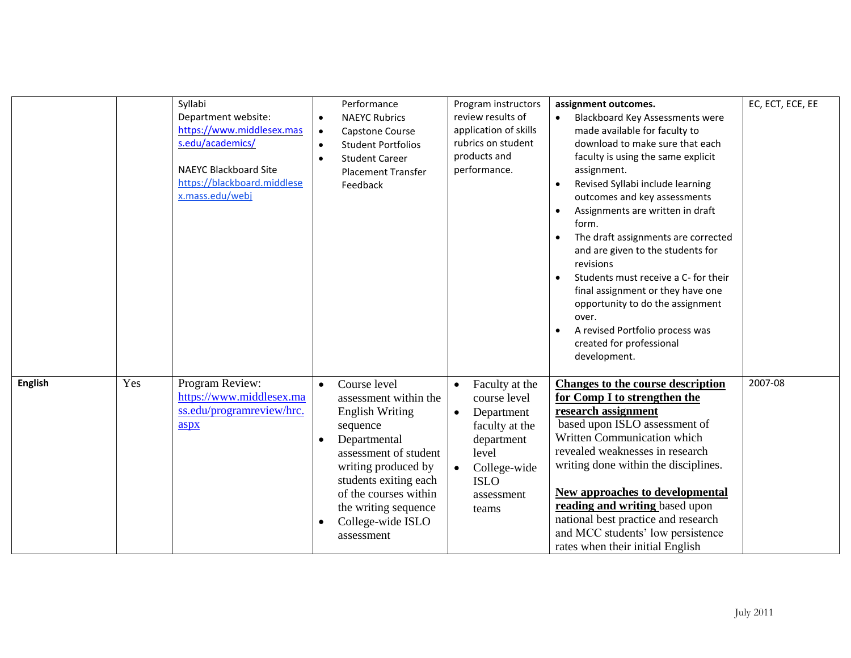|                |     | Syllabi<br>Department website:<br>https://www.middlesex.mas<br>s.edu/academics/<br><b>NAEYC Blackboard Site</b><br>https://blackboard.middlese<br>x.mass.edu/webj | $\bullet$<br>$\bullet$<br>$\bullet$<br>$\bullet$ | Performance<br><b>NAEYC Rubrics</b><br>Capstone Course<br><b>Student Portfolios</b><br><b>Student Career</b><br><b>Placement Transfer</b><br>Feedback                                                                                                    |                        | Program instructors<br>review results of<br>application of skills<br>rubrics on student<br>products and<br>performance.                     | $\bullet$<br>$\bullet$<br>$\bullet$<br>$\bullet$<br>$\bullet$ | assignment outcomes.<br><b>Blackboard Key Assessments were</b><br>made available for faculty to<br>download to make sure that each<br>faculty is using the same explicit<br>assignment.<br>Revised Syllabi include learning<br>outcomes and key assessments<br>Assignments are written in draft<br>form.<br>The draft assignments are corrected<br>and are given to the students for<br>revisions<br>Students must receive a C- for their<br>final assignment or they have one<br>opportunity to do the assignment<br>over.<br>A revised Portfolio process was<br>created for professional<br>development. | EC, ECT, ECE, EE |
|----------------|-----|-------------------------------------------------------------------------------------------------------------------------------------------------------------------|--------------------------------------------------|----------------------------------------------------------------------------------------------------------------------------------------------------------------------------------------------------------------------------------------------------------|------------------------|---------------------------------------------------------------------------------------------------------------------------------------------|---------------------------------------------------------------|------------------------------------------------------------------------------------------------------------------------------------------------------------------------------------------------------------------------------------------------------------------------------------------------------------------------------------------------------------------------------------------------------------------------------------------------------------------------------------------------------------------------------------------------------------------------------------------------------------|------------------|
| <b>English</b> | Yes | Program Review:<br>https://www.middlesex.ma<br>ss.edu/programreview/hrc.<br>aspx                                                                                  | $\bullet$<br>$\bullet$<br>$\bullet$              | Course level<br>assessment within the<br><b>English Writing</b><br>sequence<br>Departmental<br>assessment of student<br>writing produced by<br>students exiting each<br>of the courses within<br>the writing sequence<br>College-wide ISLO<br>assessment | $\bullet$<br>$\bullet$ | Faculty at the<br>course level<br>Department<br>faculty at the<br>department<br>level<br>College-wide<br><b>ISLO</b><br>assessment<br>teams |                                                               | <b>Changes to the course description</b><br>for Comp I to strengthen the<br>research assignment<br>based upon ISLO assessment of<br>Written Communication which<br>revealed weaknesses in research<br>writing done within the disciplines.<br><b>New approaches to developmental</b><br>reading and writing based upon<br>national best practice and research<br>and MCC students' low persistence<br>rates when their initial English                                                                                                                                                                     | 2007-08          |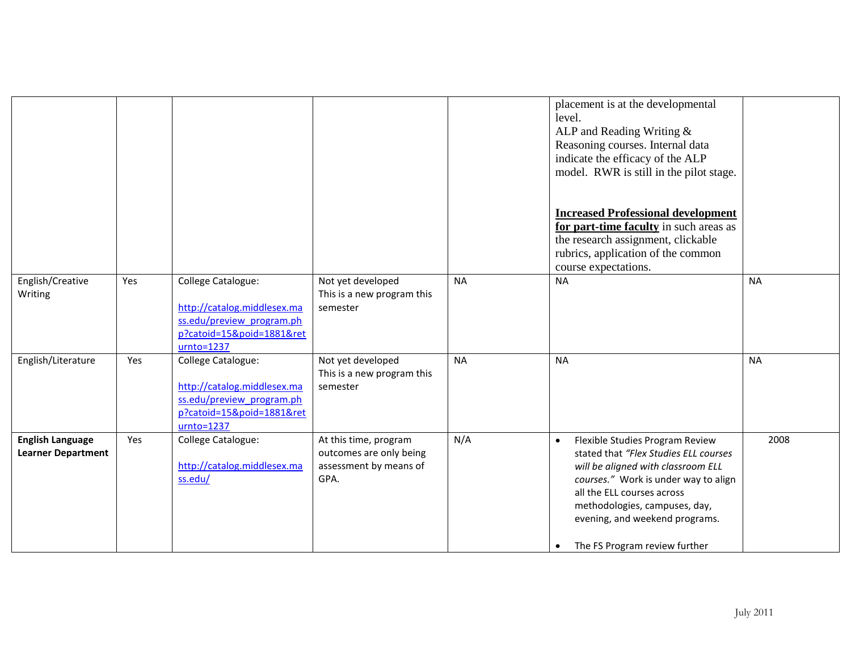|                                                      |     |                                                                                                                             |                                                                                    |           | placement is at the developmental<br>level.<br>ALP and Reading Writing &<br>Reasoning courses. Internal data<br>indicate the efficacy of the ALP<br>model. RWR is still in the pilot stage.<br><b>Increased Professional development</b><br>for part-time faculty in such areas as<br>the research assignment, clickable<br>rubrics, application of the common<br>course expectations. |           |
|------------------------------------------------------|-----|-----------------------------------------------------------------------------------------------------------------------------|------------------------------------------------------------------------------------|-----------|----------------------------------------------------------------------------------------------------------------------------------------------------------------------------------------------------------------------------------------------------------------------------------------------------------------------------------------------------------------------------------------|-----------|
| English/Creative<br>Writing                          | Yes | College Catalogue:<br>http://catalog.middlesex.ma<br>ss.edu/preview program.ph<br>p?catoid=15&poid=1881&ret<br>$urnto=1237$ | Not yet developed<br>This is a new program this<br>semester                        | <b>NA</b> | <b>NA</b>                                                                                                                                                                                                                                                                                                                                                                              | <b>NA</b> |
| English/Literature                                   | Yes | College Catalogue:<br>http://catalog.middlesex.ma<br>ss.edu/preview program.ph<br>p?catoid=15&poid=1881&ret<br>$urnto=1237$ | Not yet developed<br>This is a new program this<br>semester                        | <b>NA</b> | <b>NA</b>                                                                                                                                                                                                                                                                                                                                                                              | <b>NA</b> |
| <b>English Language</b><br><b>Learner Department</b> | Yes | College Catalogue:<br>http://catalog.middlesex.ma<br>ss.edu/                                                                | At this time, program<br>outcomes are only being<br>assessment by means of<br>GPA. | N/A       | Flexible Studies Program Review<br>$\bullet$<br>stated that "Flex Studies ELL courses<br>will be aligned with classroom ELL<br>courses." Work is under way to align<br>all the ELL courses across<br>methodologies, campuses, day,<br>evening, and weekend programs.<br>The FS Program review further<br>$\bullet$                                                                     | 2008      |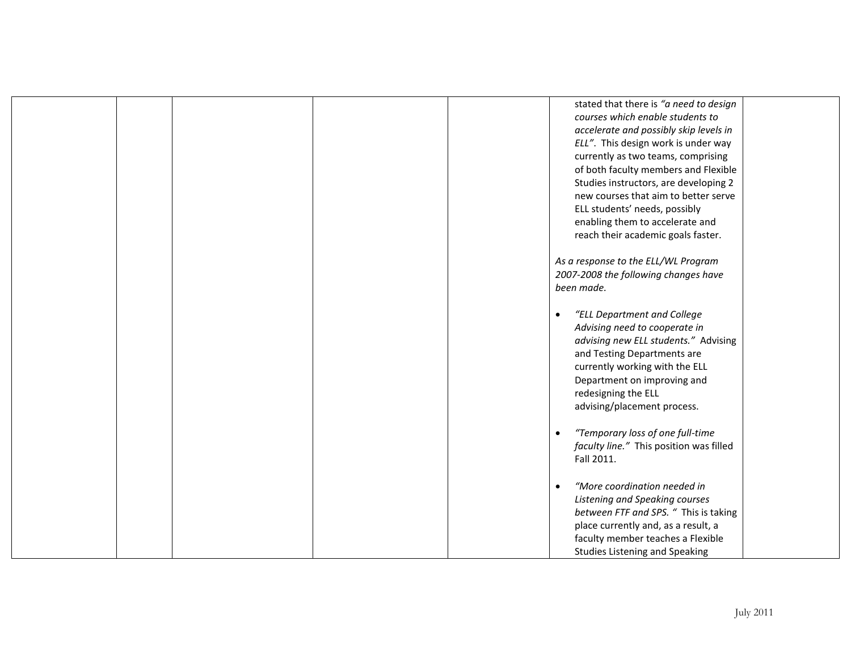|  |  | stated that there is "a need to design        |  |
|--|--|-----------------------------------------------|--|
|  |  | courses which enable students to              |  |
|  |  | accelerate and possibly skip levels in        |  |
|  |  | ELL". This design work is under way           |  |
|  |  | currently as two teams, comprising            |  |
|  |  | of both faculty members and Flexible          |  |
|  |  | Studies instructors, are developing 2         |  |
|  |  | new courses that aim to better serve          |  |
|  |  | ELL students' needs, possibly                 |  |
|  |  | enabling them to accelerate and               |  |
|  |  | reach their academic goals faster.            |  |
|  |  |                                               |  |
|  |  | As a response to the ELL/WL Program           |  |
|  |  | 2007-2008 the following changes have          |  |
|  |  | been made.                                    |  |
|  |  |                                               |  |
|  |  | "ELL Department and College<br>$\bullet$      |  |
|  |  | Advising need to cooperate in                 |  |
|  |  | advising new ELL students." Advising          |  |
|  |  | and Testing Departments are                   |  |
|  |  | currently working with the ELL                |  |
|  |  | Department on improving and                   |  |
|  |  | redesigning the ELL                           |  |
|  |  | advising/placement process.                   |  |
|  |  |                                               |  |
|  |  | "Temporary loss of one full-time<br>$\bullet$ |  |
|  |  | faculty line." This position was filled       |  |
|  |  | Fall 2011.                                    |  |
|  |  |                                               |  |
|  |  | "More coordination needed in<br>$\bullet$     |  |
|  |  | Listening and Speaking courses                |  |
|  |  | between FTF and SPS. " This is taking         |  |
|  |  | place currently and, as a result, a           |  |
|  |  | faculty member teaches a Flexible             |  |
|  |  | <b>Studies Listening and Speaking</b>         |  |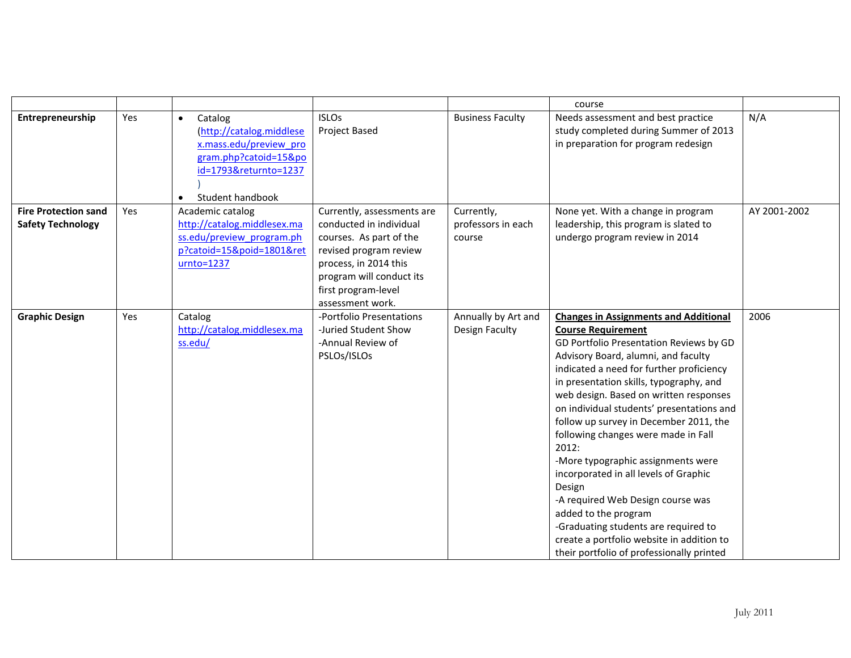|                                                         |     |                                                                                                                                                               |                                                                                                                                                                                                            |                                            | course                                                                                                                                                                                                                                                                                                                                                                                                                                                                                                                                                                                                                                                                                                                      |              |
|---------------------------------------------------------|-----|---------------------------------------------------------------------------------------------------------------------------------------------------------------|------------------------------------------------------------------------------------------------------------------------------------------------------------------------------------------------------------|--------------------------------------------|-----------------------------------------------------------------------------------------------------------------------------------------------------------------------------------------------------------------------------------------------------------------------------------------------------------------------------------------------------------------------------------------------------------------------------------------------------------------------------------------------------------------------------------------------------------------------------------------------------------------------------------------------------------------------------------------------------------------------------|--------------|
| Entrepreneurship                                        | Yes | Catalog<br>$\bullet$<br>(http://catalog.middlese<br>x.mass.edu/preview pro<br>gram.php?catoid=15&po<br>id=1793&returnto=1237<br>Student handbook<br>$\bullet$ | <b>ISLOs</b><br>Project Based                                                                                                                                                                              | <b>Business Faculty</b>                    | Needs assessment and best practice<br>study completed during Summer of 2013<br>in preparation for program redesign                                                                                                                                                                                                                                                                                                                                                                                                                                                                                                                                                                                                          | N/A          |
| <b>Fire Protection sand</b><br><b>Safety Technology</b> | Yes | Academic catalog<br>http://catalog.middlesex.ma<br>ss.edu/preview program.ph<br>p?catoid=15&poid=1801&ret<br>$urnto=1237$                                     | Currently, assessments are<br>conducted in individual<br>courses. As part of the<br>revised program review<br>process, in 2014 this<br>program will conduct its<br>first program-level<br>assessment work. | Currently,<br>professors in each<br>course | None yet. With a change in program<br>leadership, this program is slated to<br>undergo program review in 2014                                                                                                                                                                                                                                                                                                                                                                                                                                                                                                                                                                                                               | AY 2001-2002 |
| <b>Graphic Design</b>                                   | Yes | Catalog<br>http://catalog.middlesex.ma<br>ss.edu/                                                                                                             | -Portfolio Presentations<br>-Juried Student Show<br>-Annual Review of<br>PSLOs/ISLOs                                                                                                                       | Annually by Art and<br>Design Faculty      | <b>Changes in Assignments and Additional</b><br><b>Course Requirement</b><br>GD Portfolio Presentation Reviews by GD<br>Advisory Board, alumni, and faculty<br>indicated a need for further proficiency<br>in presentation skills, typography, and<br>web design. Based on written responses<br>on individual students' presentations and<br>follow up survey in December 2011, the<br>following changes were made in Fall<br>2012:<br>-More typographic assignments were<br>incorporated in all levels of Graphic<br>Design<br>-A required Web Design course was<br>added to the program<br>-Graduating students are required to<br>create a portfolio website in addition to<br>their portfolio of professionally printed | 2006         |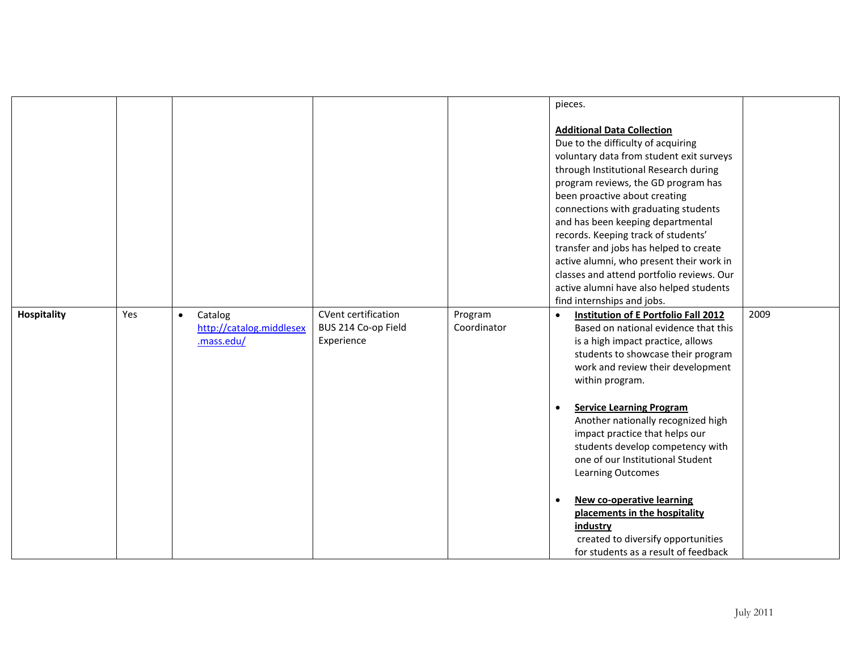| <b>Additional Data Collection</b><br>Due to the difficulty of acquiring<br>voluntary data from student exit surveys<br>through Institutional Research during<br>program reviews, the GD program has<br>been proactive about creating<br>connections with graduating students<br>and has been keeping departmental<br>records. Keeping track of students'<br>transfer and jobs has helped to create<br>active alumni, who present their work in<br>classes and attend portfolio reviews. Our<br>active alumni have also helped students<br>find internships and jobs.<br>Yes<br><b>CVent certification</b><br>2009<br>Hospitality<br>Program<br>Catalog<br><b>Institution of E Portfolio Fall 2012</b><br>$\bullet$<br>$\bullet$<br>Coordinator<br>Based on national evidence that this<br>http://catalog.middlesex<br>BUS 214 Co-op Field<br>.mass.edu/<br>Experience<br>is a high impact practice, allows<br>students to showcase their program<br>work and review their development<br>within program.<br><b>Service Learning Program</b><br>$\bullet$<br>Another nationally recognized high<br>impact practice that helps our<br>students develop competency with<br>one of our Institutional Student<br><b>Learning Outcomes</b> |  |  |  | pieces.                                               |  |
|--------------------------------------------------------------------------------------------------------------------------------------------------------------------------------------------------------------------------------------------------------------------------------------------------------------------------------------------------------------------------------------------------------------------------------------------------------------------------------------------------------------------------------------------------------------------------------------------------------------------------------------------------------------------------------------------------------------------------------------------------------------------------------------------------------------------------------------------------------------------------------------------------------------------------------------------------------------------------------------------------------------------------------------------------------------------------------------------------------------------------------------------------------------------------------------------------------------------------------------|--|--|--|-------------------------------------------------------|--|
|                                                                                                                                                                                                                                                                                                                                                                                                                                                                                                                                                                                                                                                                                                                                                                                                                                                                                                                                                                                                                                                                                                                                                                                                                                      |  |  |  |                                                       |  |
|                                                                                                                                                                                                                                                                                                                                                                                                                                                                                                                                                                                                                                                                                                                                                                                                                                                                                                                                                                                                                                                                                                                                                                                                                                      |  |  |  |                                                       |  |
|                                                                                                                                                                                                                                                                                                                                                                                                                                                                                                                                                                                                                                                                                                                                                                                                                                                                                                                                                                                                                                                                                                                                                                                                                                      |  |  |  |                                                       |  |
|                                                                                                                                                                                                                                                                                                                                                                                                                                                                                                                                                                                                                                                                                                                                                                                                                                                                                                                                                                                                                                                                                                                                                                                                                                      |  |  |  |                                                       |  |
|                                                                                                                                                                                                                                                                                                                                                                                                                                                                                                                                                                                                                                                                                                                                                                                                                                                                                                                                                                                                                                                                                                                                                                                                                                      |  |  |  |                                                       |  |
|                                                                                                                                                                                                                                                                                                                                                                                                                                                                                                                                                                                                                                                                                                                                                                                                                                                                                                                                                                                                                                                                                                                                                                                                                                      |  |  |  |                                                       |  |
|                                                                                                                                                                                                                                                                                                                                                                                                                                                                                                                                                                                                                                                                                                                                                                                                                                                                                                                                                                                                                                                                                                                                                                                                                                      |  |  |  |                                                       |  |
|                                                                                                                                                                                                                                                                                                                                                                                                                                                                                                                                                                                                                                                                                                                                                                                                                                                                                                                                                                                                                                                                                                                                                                                                                                      |  |  |  |                                                       |  |
|                                                                                                                                                                                                                                                                                                                                                                                                                                                                                                                                                                                                                                                                                                                                                                                                                                                                                                                                                                                                                                                                                                                                                                                                                                      |  |  |  |                                                       |  |
|                                                                                                                                                                                                                                                                                                                                                                                                                                                                                                                                                                                                                                                                                                                                                                                                                                                                                                                                                                                                                                                                                                                                                                                                                                      |  |  |  |                                                       |  |
|                                                                                                                                                                                                                                                                                                                                                                                                                                                                                                                                                                                                                                                                                                                                                                                                                                                                                                                                                                                                                                                                                                                                                                                                                                      |  |  |  |                                                       |  |
|                                                                                                                                                                                                                                                                                                                                                                                                                                                                                                                                                                                                                                                                                                                                                                                                                                                                                                                                                                                                                                                                                                                                                                                                                                      |  |  |  |                                                       |  |
|                                                                                                                                                                                                                                                                                                                                                                                                                                                                                                                                                                                                                                                                                                                                                                                                                                                                                                                                                                                                                                                                                                                                                                                                                                      |  |  |  |                                                       |  |
|                                                                                                                                                                                                                                                                                                                                                                                                                                                                                                                                                                                                                                                                                                                                                                                                                                                                                                                                                                                                                                                                                                                                                                                                                                      |  |  |  |                                                       |  |
|                                                                                                                                                                                                                                                                                                                                                                                                                                                                                                                                                                                                                                                                                                                                                                                                                                                                                                                                                                                                                                                                                                                                                                                                                                      |  |  |  |                                                       |  |
|                                                                                                                                                                                                                                                                                                                                                                                                                                                                                                                                                                                                                                                                                                                                                                                                                                                                                                                                                                                                                                                                                                                                                                                                                                      |  |  |  |                                                       |  |
|                                                                                                                                                                                                                                                                                                                                                                                                                                                                                                                                                                                                                                                                                                                                                                                                                                                                                                                                                                                                                                                                                                                                                                                                                                      |  |  |  |                                                       |  |
|                                                                                                                                                                                                                                                                                                                                                                                                                                                                                                                                                                                                                                                                                                                                                                                                                                                                                                                                                                                                                                                                                                                                                                                                                                      |  |  |  |                                                       |  |
|                                                                                                                                                                                                                                                                                                                                                                                                                                                                                                                                                                                                                                                                                                                                                                                                                                                                                                                                                                                                                                                                                                                                                                                                                                      |  |  |  |                                                       |  |
|                                                                                                                                                                                                                                                                                                                                                                                                                                                                                                                                                                                                                                                                                                                                                                                                                                                                                                                                                                                                                                                                                                                                                                                                                                      |  |  |  |                                                       |  |
|                                                                                                                                                                                                                                                                                                                                                                                                                                                                                                                                                                                                                                                                                                                                                                                                                                                                                                                                                                                                                                                                                                                                                                                                                                      |  |  |  |                                                       |  |
|                                                                                                                                                                                                                                                                                                                                                                                                                                                                                                                                                                                                                                                                                                                                                                                                                                                                                                                                                                                                                                                                                                                                                                                                                                      |  |  |  |                                                       |  |
|                                                                                                                                                                                                                                                                                                                                                                                                                                                                                                                                                                                                                                                                                                                                                                                                                                                                                                                                                                                                                                                                                                                                                                                                                                      |  |  |  |                                                       |  |
|                                                                                                                                                                                                                                                                                                                                                                                                                                                                                                                                                                                                                                                                                                                                                                                                                                                                                                                                                                                                                                                                                                                                                                                                                                      |  |  |  |                                                       |  |
|                                                                                                                                                                                                                                                                                                                                                                                                                                                                                                                                                                                                                                                                                                                                                                                                                                                                                                                                                                                                                                                                                                                                                                                                                                      |  |  |  |                                                       |  |
|                                                                                                                                                                                                                                                                                                                                                                                                                                                                                                                                                                                                                                                                                                                                                                                                                                                                                                                                                                                                                                                                                                                                                                                                                                      |  |  |  |                                                       |  |
|                                                                                                                                                                                                                                                                                                                                                                                                                                                                                                                                                                                                                                                                                                                                                                                                                                                                                                                                                                                                                                                                                                                                                                                                                                      |  |  |  |                                                       |  |
|                                                                                                                                                                                                                                                                                                                                                                                                                                                                                                                                                                                                                                                                                                                                                                                                                                                                                                                                                                                                                                                                                                                                                                                                                                      |  |  |  |                                                       |  |
|                                                                                                                                                                                                                                                                                                                                                                                                                                                                                                                                                                                                                                                                                                                                                                                                                                                                                                                                                                                                                                                                                                                                                                                                                                      |  |  |  |                                                       |  |
| <b>New co-operative learning</b><br>$\bullet$<br>placements in the hospitality                                                                                                                                                                                                                                                                                                                                                                                                                                                                                                                                                                                                                                                                                                                                                                                                                                                                                                                                                                                                                                                                                                                                                       |  |  |  |                                                       |  |
|                                                                                                                                                                                                                                                                                                                                                                                                                                                                                                                                                                                                                                                                                                                                                                                                                                                                                                                                                                                                                                                                                                                                                                                                                                      |  |  |  |                                                       |  |
|                                                                                                                                                                                                                                                                                                                                                                                                                                                                                                                                                                                                                                                                                                                                                                                                                                                                                                                                                                                                                                                                                                                                                                                                                                      |  |  |  |                                                       |  |
| for students as a result of feedback                                                                                                                                                                                                                                                                                                                                                                                                                                                                                                                                                                                                                                                                                                                                                                                                                                                                                                                                                                                                                                                                                                                                                                                                 |  |  |  | <b>industry</b><br>created to diversify opportunities |  |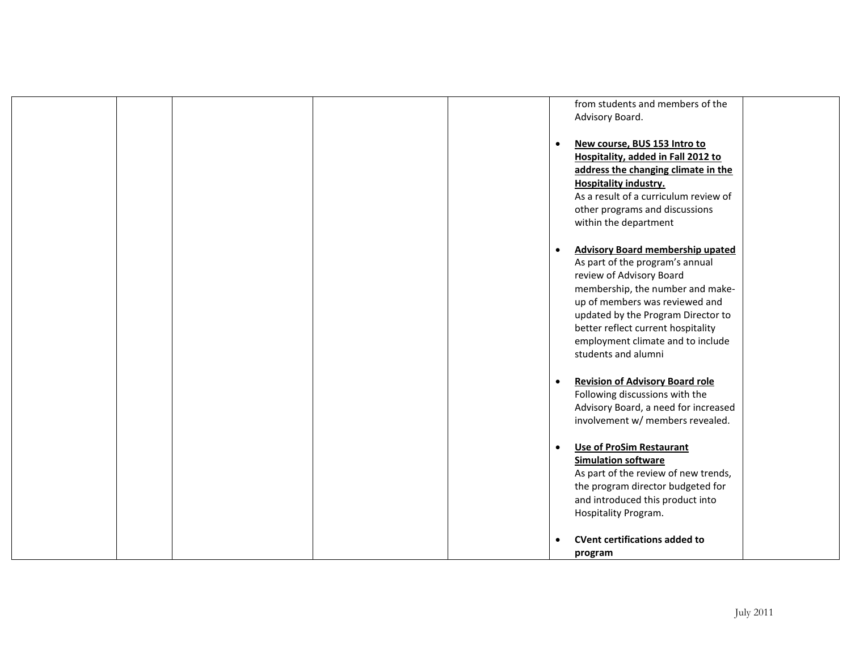|  |  | from students and members of the<br>Advisory Board.                                                                                                                                                                                                                                                                               |
|--|--|-----------------------------------------------------------------------------------------------------------------------------------------------------------------------------------------------------------------------------------------------------------------------------------------------------------------------------------|
|  |  | New course, BUS 153 Intro to<br>$\bullet$<br>Hospitality, added in Fall 2012 to<br>address the changing climate in the<br><b>Hospitality industry.</b><br>As a result of a curriculum review of<br>other programs and discussions<br>within the department                                                                        |
|  |  | <b>Advisory Board membership upated</b><br>$\bullet$<br>As part of the program's annual<br>review of Advisory Board<br>membership, the number and make-<br>up of members was reviewed and<br>updated by the Program Director to<br>better reflect current hospitality<br>employment climate and to include<br>students and alumni |
|  |  | <b>Revision of Advisory Board role</b><br>$\bullet$<br>Following discussions with the<br>Advisory Board, a need for increased<br>involvement w/ members revealed.                                                                                                                                                                 |
|  |  | <b>Use of ProSim Restaurant</b><br>$\bullet$<br><b>Simulation software</b><br>As part of the review of new trends,<br>the program director budgeted for<br>and introduced this product into<br>Hospitality Program.                                                                                                               |
|  |  | <b>CVent certifications added to</b><br>program                                                                                                                                                                                                                                                                                   |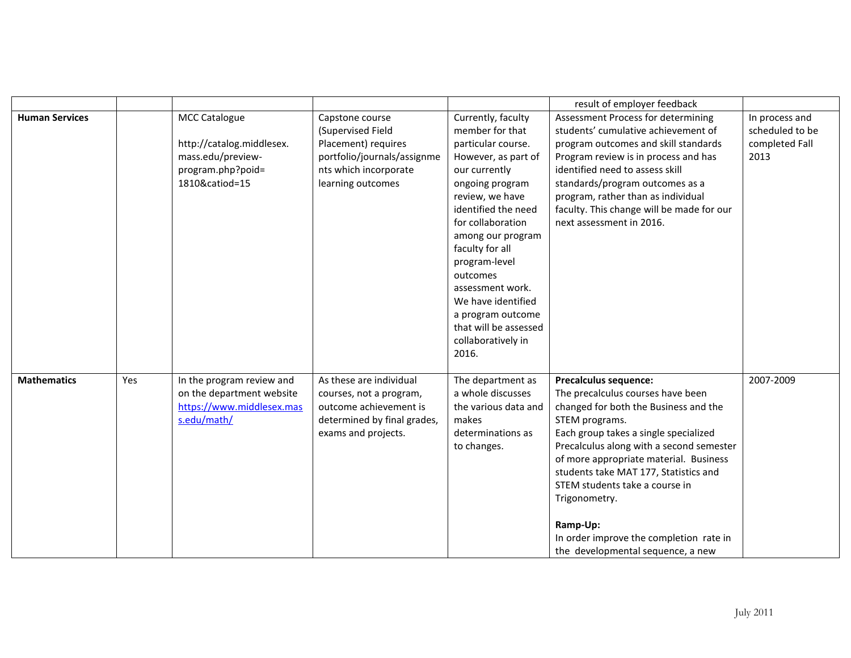|                       |     |                                                                                                               |                                                                                                                                          |                                                                                                                                                                                                                                                                                                                                                                                   | result of employer feedback                                                                                                                                                                                                                                                                                                                                                                                                                         |                                                             |
|-----------------------|-----|---------------------------------------------------------------------------------------------------------------|------------------------------------------------------------------------------------------------------------------------------------------|-----------------------------------------------------------------------------------------------------------------------------------------------------------------------------------------------------------------------------------------------------------------------------------------------------------------------------------------------------------------------------------|-----------------------------------------------------------------------------------------------------------------------------------------------------------------------------------------------------------------------------------------------------------------------------------------------------------------------------------------------------------------------------------------------------------------------------------------------------|-------------------------------------------------------------|
| <b>Human Services</b> |     | <b>MCC Catalogue</b><br>http://catalog.middlesex.<br>mass.edu/preview-<br>program.php?poid=<br>1810&catiod=15 | Capstone course<br>(Supervised Field<br>Placement) requires<br>portfolio/journals/assignme<br>nts which incorporate<br>learning outcomes | Currently, faculty<br>member for that<br>particular course.<br>However, as part of<br>our currently<br>ongoing program<br>review, we have<br>identified the need<br>for collaboration<br>among our program<br>faculty for all<br>program-level<br>outcomes<br>assessment work.<br>We have identified<br>a program outcome<br>that will be assessed<br>collaboratively in<br>2016. | Assessment Process for determining<br>students' cumulative achievement of<br>program outcomes and skill standards<br>Program review is in process and has<br>identified need to assess skill<br>standards/program outcomes as a<br>program, rather than as individual<br>faculty. This change will be made for our<br>next assessment in 2016.                                                                                                      | In process and<br>scheduled to be<br>completed Fall<br>2013 |
| <b>Mathematics</b>    | Yes | In the program review and<br>on the department website<br>https://www.middlesex.mas<br>s.edu/math/            | As these are individual<br>courses, not a program,<br>outcome achievement is<br>determined by final grades,<br>exams and projects.       | The department as<br>a whole discusses<br>the various data and<br>makes<br>determinations as<br>to changes.                                                                                                                                                                                                                                                                       | <b>Precalculus sequence:</b><br>The precalculus courses have been<br>changed for both the Business and the<br>STEM programs.<br>Each group takes a single specialized<br>Precalculus along with a second semester<br>of more appropriate material. Business<br>students take MAT 177, Statistics and<br>STEM students take a course in<br>Trigonometry.<br>Ramp-Up:<br>In order improve the completion rate in<br>the developmental sequence, a new | 2007-2009                                                   |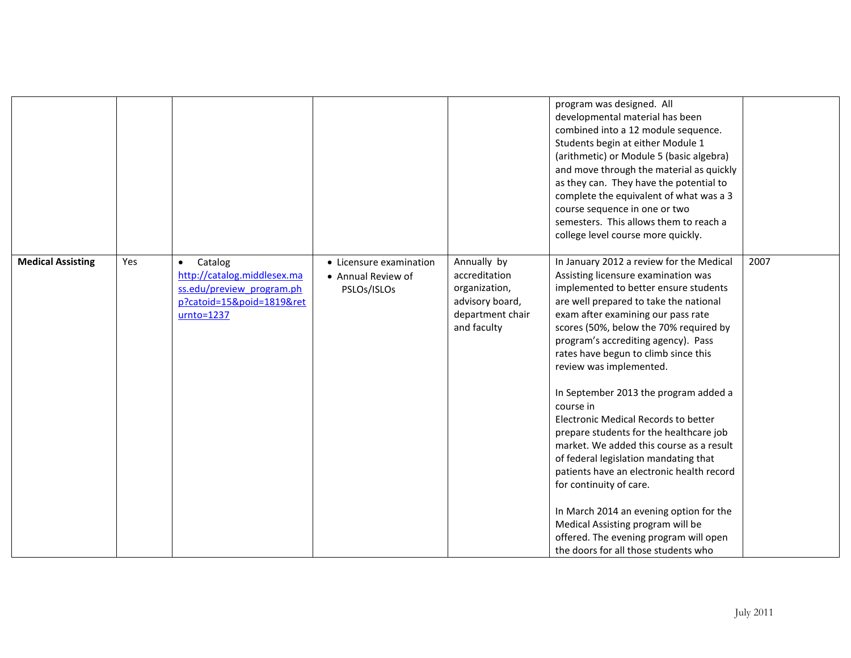|                          |     |                                                                                                                               |                                                              |                                                                                                     | program was designed. All<br>developmental material has been<br>combined into a 12 module sequence.<br>Students begin at either Module 1<br>(arithmetic) or Module 5 (basic algebra)<br>and move through the material as quickly<br>as they can. They have the potential to<br>complete the equivalent of what was a 3<br>course sequence in one or two<br>semesters. This allows them to reach a<br>college level course more quickly.                                                                                                                                                                                                                                                                                                                                                                                              |      |
|--------------------------|-----|-------------------------------------------------------------------------------------------------------------------------------|--------------------------------------------------------------|-----------------------------------------------------------------------------------------------------|--------------------------------------------------------------------------------------------------------------------------------------------------------------------------------------------------------------------------------------------------------------------------------------------------------------------------------------------------------------------------------------------------------------------------------------------------------------------------------------------------------------------------------------------------------------------------------------------------------------------------------------------------------------------------------------------------------------------------------------------------------------------------------------------------------------------------------------|------|
| <b>Medical Assisting</b> | Yes | Catalog<br>$\bullet$<br>http://catalog.middlesex.ma<br>ss.edu/preview program.ph<br>p?catoid=15&poid=1819&ret<br>$urnto=1237$ | • Licensure examination<br>• Annual Review of<br>PSLOs/ISLOs | Annually by<br>accreditation<br>organization,<br>advisory board,<br>department chair<br>and faculty | In January 2012 a review for the Medical<br>Assisting licensure examination was<br>implemented to better ensure students<br>are well prepared to take the national<br>exam after examining our pass rate<br>scores (50%, below the 70% required by<br>program's accrediting agency). Pass<br>rates have begun to climb since this<br>review was implemented.<br>In September 2013 the program added a<br>course in<br>Electronic Medical Records to better<br>prepare students for the healthcare job<br>market. We added this course as a result<br>of federal legislation mandating that<br>patients have an electronic health record<br>for continuity of care.<br>In March 2014 an evening option for the<br>Medical Assisting program will be<br>offered. The evening program will open<br>the doors for all those students who | 2007 |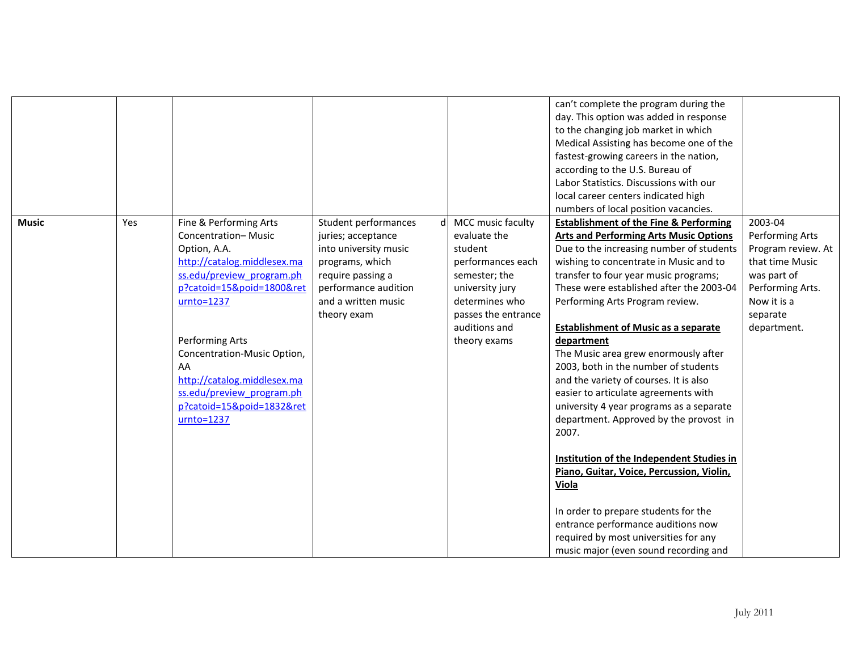|              |     |                             |                       |                     | can't complete the program during the             |                    |
|--------------|-----|-----------------------------|-----------------------|---------------------|---------------------------------------------------|--------------------|
|              |     |                             |                       |                     | day. This option was added in response            |                    |
|              |     |                             |                       |                     | to the changing job market in which               |                    |
|              |     |                             |                       |                     | Medical Assisting has become one of the           |                    |
|              |     |                             |                       |                     | fastest-growing careers in the nation,            |                    |
|              |     |                             |                       |                     | according to the U.S. Bureau of                   |                    |
|              |     |                             |                       |                     | Labor Statistics. Discussions with our            |                    |
|              |     |                             |                       |                     |                                                   |                    |
|              |     |                             |                       |                     | local career centers indicated high               |                    |
|              |     |                             |                       |                     | numbers of local position vacancies.              |                    |
| <b>Music</b> | Yes | Fine & Performing Arts      | Student performances  | MCC music faculty   | <b>Establishment of the Fine &amp; Performing</b> | 2003-04            |
|              |     | <b>Concentration-Music</b>  | juries; acceptance    | evaluate the        | <b>Arts and Performing Arts Music Options</b>     | Performing Arts    |
|              |     | Option, A.A.                | into university music | student             | Due to the increasing number of students          | Program review. At |
|              |     | http://catalog.middlesex.ma | programs, which       | performances each   | wishing to concentrate in Music and to            | that time Music    |
|              |     | ss.edu/preview program.ph   | require passing a     | semester; the       | transfer to four year music programs;             | was part of        |
|              |     | p?catoid=15&poid=1800&ret   | performance audition  | university jury     | These were established after the 2003-04          | Performing Arts.   |
|              |     | $urnto=1237$                | and a written music   | determines who      | Performing Arts Program review.                   | Now it is a        |
|              |     |                             | theory exam           | passes the entrance |                                                   | separate           |
|              |     |                             |                       | auditions and       | <b>Establishment of Music as a separate</b>       | department.        |
|              |     | Performing Arts             |                       | theory exams        | department                                        |                    |
|              |     | Concentration-Music Option, |                       |                     | The Music area grew enormously after              |                    |
|              |     | AA                          |                       |                     | 2003, both in the number of students              |                    |
|              |     | http://catalog.middlesex.ma |                       |                     | and the variety of courses. It is also            |                    |
|              |     | ss.edu/preview program.ph   |                       |                     | easier to articulate agreements with              |                    |
|              |     | p?catoid=15&poid=1832&ret   |                       |                     | university 4 year programs as a separate          |                    |
|              |     | $urnto=1237$                |                       |                     |                                                   |                    |
|              |     |                             |                       |                     | department. Approved by the provost in            |                    |
|              |     |                             |                       |                     | 2007.                                             |                    |
|              |     |                             |                       |                     |                                                   |                    |
|              |     |                             |                       |                     | Institution of the Independent Studies in         |                    |
|              |     |                             |                       |                     | Piano, Guitar, Voice, Percussion, Violin,         |                    |
|              |     |                             |                       |                     | Viola                                             |                    |
|              |     |                             |                       |                     |                                                   |                    |
|              |     |                             |                       |                     | In order to prepare students for the              |                    |
|              |     |                             |                       |                     | entrance performance auditions now                |                    |
|              |     |                             |                       |                     | required by most universities for any             |                    |
|              |     |                             |                       |                     | music major (even sound recording and             |                    |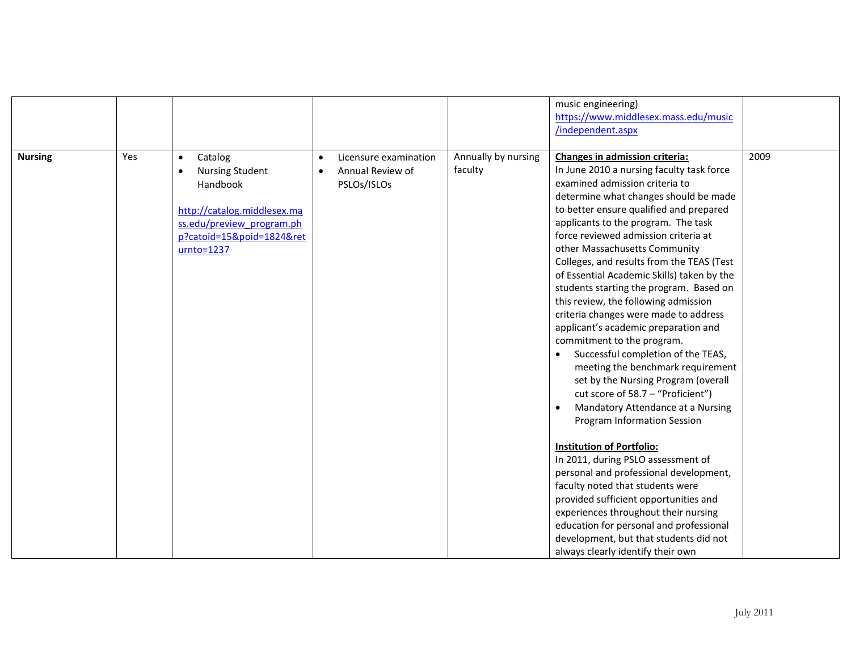|                |     |                                     |           |                       |                     | music engineering)                             |      |
|----------------|-----|-------------------------------------|-----------|-----------------------|---------------------|------------------------------------------------|------|
|                |     |                                     |           |                       |                     | https://www.middlesex.mass.edu/music           |      |
|                |     |                                     |           |                       |                     | /independent.aspx                              |      |
|                |     |                                     |           |                       |                     |                                                |      |
| <b>Nursing</b> | Yes | Catalog<br>$\bullet$                | $\bullet$ | Licensure examination | Annually by nursing | Changes in admission criteria:                 | 2009 |
|                |     | <b>Nursing Student</b><br>$\bullet$ |           | Annual Review of      | faculty             | In June 2010 a nursing faculty task force      |      |
|                |     | Handbook                            |           | PSLOs/ISLOs           |                     | examined admission criteria to                 |      |
|                |     |                                     |           |                       |                     | determine what changes should be made          |      |
|                |     | http://catalog.middlesex.ma         |           |                       |                     | to better ensure qualified and prepared        |      |
|                |     | ss.edu/preview program.ph           |           |                       |                     | applicants to the program. The task            |      |
|                |     | p?catoid=15&poid=1824&ret           |           |                       |                     | force reviewed admission criteria at           |      |
|                |     | $urnto=1237$                        |           |                       |                     | other Massachusetts Community                  |      |
|                |     |                                     |           |                       |                     | Colleges, and results from the TEAS (Test      |      |
|                |     |                                     |           |                       |                     | of Essential Academic Skills) taken by the     |      |
|                |     |                                     |           |                       |                     | students starting the program. Based on        |      |
|                |     |                                     |           |                       |                     | this review, the following admission           |      |
|                |     |                                     |           |                       |                     | criteria changes were made to address          |      |
|                |     |                                     |           |                       |                     | applicant's academic preparation and           |      |
|                |     |                                     |           |                       |                     | commitment to the program.                     |      |
|                |     |                                     |           |                       |                     | Successful completion of the TEAS,             |      |
|                |     |                                     |           |                       |                     | meeting the benchmark requirement              |      |
|                |     |                                     |           |                       |                     | set by the Nursing Program (overall            |      |
|                |     |                                     |           |                       |                     | cut score of 58.7 - "Proficient")              |      |
|                |     |                                     |           |                       |                     | Mandatory Attendance at a Nursing<br>$\bullet$ |      |
|                |     |                                     |           |                       |                     | Program Information Session                    |      |
|                |     |                                     |           |                       |                     |                                                |      |
|                |     |                                     |           |                       |                     | <b>Institution of Portfolio:</b>               |      |
|                |     |                                     |           |                       |                     | In 2011, during PSLO assessment of             |      |
|                |     |                                     |           |                       |                     | personal and professional development,         |      |
|                |     |                                     |           |                       |                     | faculty noted that students were               |      |
|                |     |                                     |           |                       |                     | provided sufficient opportunities and          |      |
|                |     |                                     |           |                       |                     | experiences throughout their nursing           |      |
|                |     |                                     |           |                       |                     | education for personal and professional        |      |
|                |     |                                     |           |                       |                     | development, but that students did not         |      |
|                |     |                                     |           |                       |                     | always clearly identify their own              |      |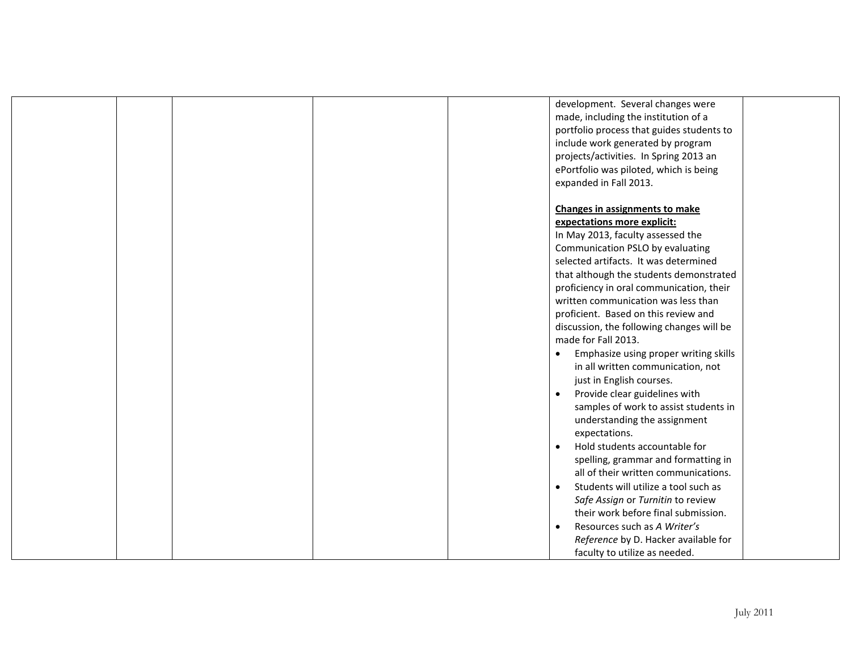|  |  | development. Several changes were         |
|--|--|-------------------------------------------|
|  |  | made, including the institution of a      |
|  |  | portfolio process that guides students to |
|  |  | include work generated by program         |
|  |  | projects/activities. In Spring 2013 an    |
|  |  | ePortfolio was piloted, which is being    |
|  |  | expanded in Fall 2013.                    |
|  |  |                                           |
|  |  | Changes in assignments to make            |
|  |  | expectations more explicit:               |
|  |  | In May 2013, faculty assessed the         |
|  |  | Communication PSLO by evaluating          |
|  |  | selected artifacts. It was determined     |
|  |  | that although the students demonstrated   |
|  |  | proficiency in oral communication, their  |
|  |  | written communication was less than       |
|  |  | proficient. Based on this review and      |
|  |  | discussion, the following changes will be |
|  |  | made for Fall 2013.                       |
|  |  | Emphasize using proper writing skills     |
|  |  | in all written communication, not         |
|  |  | just in English courses.                  |
|  |  | Provide clear guidelines with             |
|  |  | samples of work to assist students in     |
|  |  | understanding the assignment              |
|  |  | expectations.                             |
|  |  | Hold students accountable for             |
|  |  | spelling, grammar and formatting in       |
|  |  | all of their written communications.      |
|  |  | Students will utilize a tool such as      |
|  |  | Safe Assign or Turnitin to review         |
|  |  | their work before final submission.       |
|  |  | Resources such as A Writer's<br>$\bullet$ |
|  |  | Reference by D. Hacker available for      |
|  |  | faculty to utilize as needed.             |
|  |  |                                           |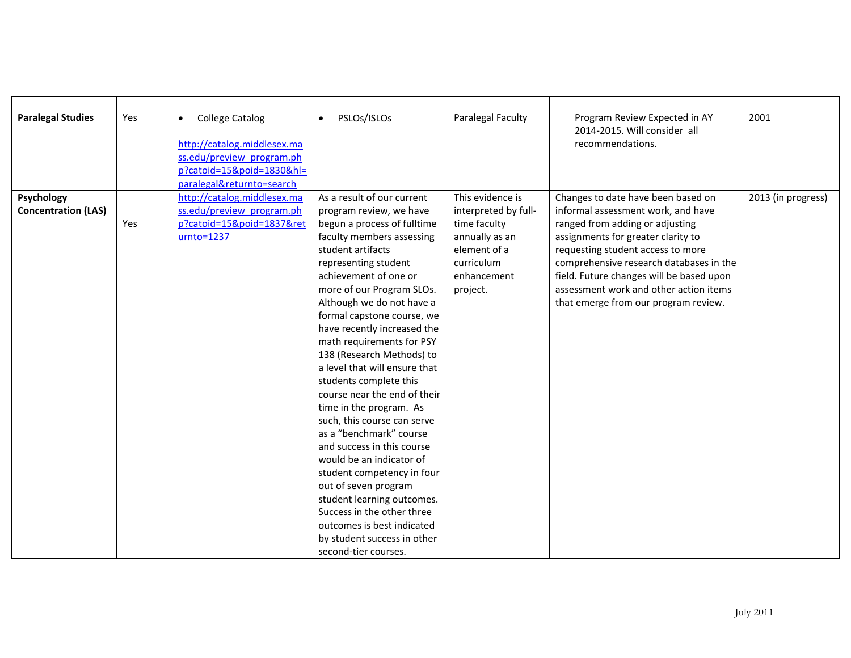| <b>Paralegal Studies</b>   | Yes | <b>College Catalog</b><br>$\bullet$ | PSLOs/ISLOs<br>$\bullet$      | Paralegal Faculty    | Program Review Expected in AY            | 2001               |
|----------------------------|-----|-------------------------------------|-------------------------------|----------------------|------------------------------------------|--------------------|
|                            |     |                                     |                               |                      | 2014-2015. Will consider all             |                    |
|                            |     | http://catalog.middlesex.ma         |                               |                      | recommendations.                         |                    |
|                            |     | ss.edu/preview program.ph           |                               |                      |                                          |                    |
|                            |     | p?catoid=15&poid=1830&hl=           |                               |                      |                                          |                    |
|                            |     | paralegal&returnto=search           |                               |                      |                                          |                    |
| Psychology                 |     | http://catalog.middlesex.ma         | As a result of our current    | This evidence is     | Changes to date have been based on       | 2013 (in progress) |
| <b>Concentration (LAS)</b> |     | ss.edu/preview program.ph           | program review, we have       | interpreted by full- | informal assessment work, and have       |                    |
|                            | Yes | p?catoid=15&poid=1837&ret           | begun a process of fulltime   | time faculty         | ranged from adding or adjusting          |                    |
|                            |     | $urnto=1237$                        | faculty members assessing     | annually as an       | assignments for greater clarity to       |                    |
|                            |     |                                     | student artifacts             | element of a         | requesting student access to more        |                    |
|                            |     |                                     | representing student          | curriculum           | comprehensive research databases in the  |                    |
|                            |     |                                     | achievement of one or         | enhancement          | field. Future changes will be based upon |                    |
|                            |     |                                     | more of our Program SLOs.     | project.             | assessment work and other action items   |                    |
|                            |     |                                     | Although we do not have a     |                      | that emerge from our program review.     |                    |
|                            |     |                                     | formal capstone course, we    |                      |                                          |                    |
|                            |     |                                     | have recently increased the   |                      |                                          |                    |
|                            |     |                                     | math requirements for PSY     |                      |                                          |                    |
|                            |     |                                     | 138 (Research Methods) to     |                      |                                          |                    |
|                            |     |                                     | a level that will ensure that |                      |                                          |                    |
|                            |     |                                     | students complete this        |                      |                                          |                    |
|                            |     |                                     | course near the end of their  |                      |                                          |                    |
|                            |     |                                     | time in the program. As       |                      |                                          |                    |
|                            |     |                                     | such, this course can serve   |                      |                                          |                    |
|                            |     |                                     | as a "benchmark" course       |                      |                                          |                    |
|                            |     |                                     | and success in this course    |                      |                                          |                    |
|                            |     |                                     | would be an indicator of      |                      |                                          |                    |
|                            |     |                                     | student competency in four    |                      |                                          |                    |
|                            |     |                                     | out of seven program          |                      |                                          |                    |
|                            |     |                                     | student learning outcomes.    |                      |                                          |                    |
|                            |     |                                     | Success in the other three    |                      |                                          |                    |
|                            |     |                                     | outcomes is best indicated    |                      |                                          |                    |
|                            |     |                                     | by student success in other   |                      |                                          |                    |
|                            |     |                                     | second-tier courses.          |                      |                                          |                    |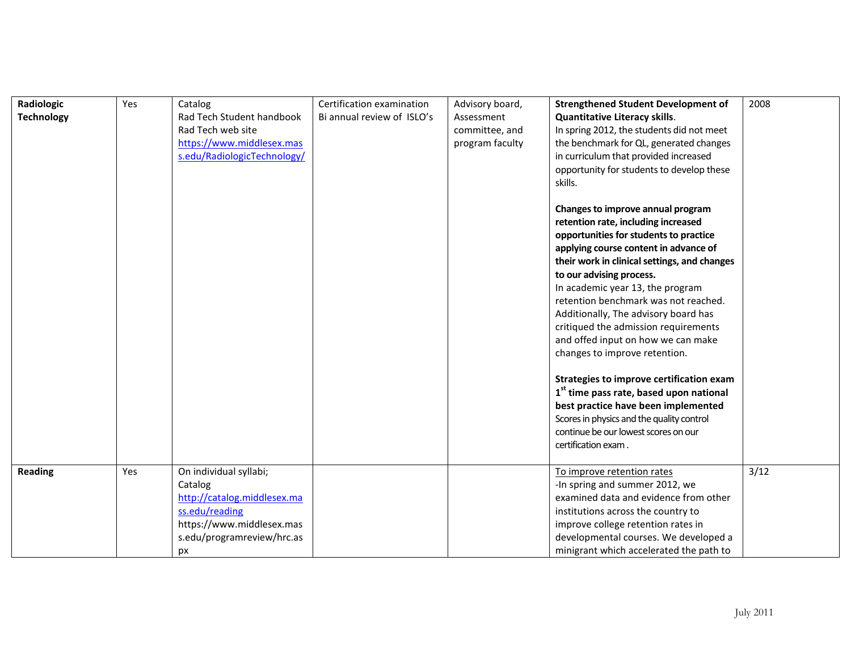| Radiologic        | Yes | Catalog<br>Rad Tech Student handbook | Certification examination<br>Bi annual review of ISLO's | Advisory board, | <b>Strengthened Student Development of</b>          | 2008 |
|-------------------|-----|--------------------------------------|---------------------------------------------------------|-----------------|-----------------------------------------------------|------|
| <b>Technology</b> |     |                                      |                                                         | Assessment      | <b>Quantitative Literacy skills.</b>                |      |
|                   |     | Rad Tech web site                    |                                                         | committee, and  | In spring 2012, the students did not meet           |      |
|                   |     | https://www.middlesex.mas            |                                                         | program faculty | the benchmark for QL, generated changes             |      |
|                   |     | s.edu/RadiologicTechnology/          |                                                         |                 | in curriculum that provided increased               |      |
|                   |     |                                      |                                                         |                 | opportunity for students to develop these           |      |
|                   |     |                                      |                                                         |                 | skills.                                             |      |
|                   |     |                                      |                                                         |                 |                                                     |      |
|                   |     |                                      |                                                         |                 | Changes to improve annual program                   |      |
|                   |     |                                      |                                                         |                 | retention rate, including increased                 |      |
|                   |     |                                      |                                                         |                 | opportunities for students to practice              |      |
|                   |     |                                      |                                                         |                 | applying course content in advance of               |      |
|                   |     |                                      |                                                         |                 | their work in clinical settings, and changes        |      |
|                   |     |                                      |                                                         |                 | to our advising process.                            |      |
|                   |     |                                      |                                                         |                 | In academic year 13, the program                    |      |
|                   |     |                                      |                                                         |                 | retention benchmark was not reached.                |      |
|                   |     |                                      |                                                         |                 | Additionally, The advisory board has                |      |
|                   |     |                                      |                                                         |                 | critiqued the admission requirements                |      |
|                   |     |                                      |                                                         |                 | and offed input on how we can make                  |      |
|                   |     |                                      |                                                         |                 | changes to improve retention.                       |      |
|                   |     |                                      |                                                         |                 |                                                     |      |
|                   |     |                                      |                                                         |                 | Strategies to improve certification exam            |      |
|                   |     |                                      |                                                         |                 | 1 <sup>st</sup> time pass rate, based upon national |      |
|                   |     |                                      |                                                         |                 | best practice have been implemented                 |      |
|                   |     |                                      |                                                         |                 | Scores in physics and the quality control           |      |
|                   |     |                                      |                                                         |                 | continue be our lowest scores on our                |      |
|                   |     |                                      |                                                         |                 | certification exam.                                 |      |
|                   |     |                                      |                                                         |                 |                                                     |      |
| <b>Reading</b>    | Yes | On individual syllabi;               |                                                         |                 | To improve retention rates                          | 3/12 |
|                   |     | Catalog                              |                                                         |                 | -In spring and summer 2012, we                      |      |
|                   |     | http://catalog.middlesex.ma          |                                                         |                 | examined data and evidence from other               |      |
|                   |     | ss.edu/reading                       |                                                         |                 | institutions across the country to                  |      |
|                   |     | https://www.middlesex.mas            |                                                         |                 | improve college retention rates in                  |      |
|                   |     | s.edu/programreview/hrc.as           |                                                         |                 | developmental courses. We developed a               |      |
|                   |     | px                                   |                                                         |                 | minigrant which accelerated the path to             |      |

Ξ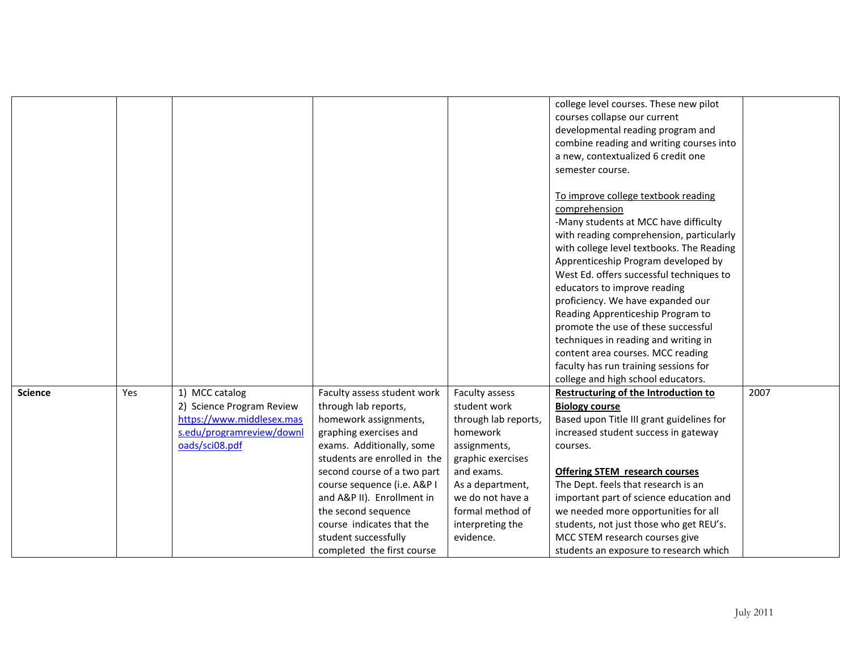|                |     |                           |                              |                      | college level courses. These new pilot      |      |
|----------------|-----|---------------------------|------------------------------|----------------------|---------------------------------------------|------|
|                |     |                           |                              |                      | courses collapse our current                |      |
|                |     |                           |                              |                      | developmental reading program and           |      |
|                |     |                           |                              |                      | combine reading and writing courses into    |      |
|                |     |                           |                              |                      | a new, contextualized 6 credit one          |      |
|                |     |                           |                              |                      | semester course.                            |      |
|                |     |                           |                              |                      |                                             |      |
|                |     |                           |                              |                      | To improve college textbook reading         |      |
|                |     |                           |                              |                      | comprehension                               |      |
|                |     |                           |                              |                      | -Many students at MCC have difficulty       |      |
|                |     |                           |                              |                      | with reading comprehension, particularly    |      |
|                |     |                           |                              |                      | with college level textbooks. The Reading   |      |
|                |     |                           |                              |                      | Apprenticeship Program developed by         |      |
|                |     |                           |                              |                      | West Ed. offers successful techniques to    |      |
|                |     |                           |                              |                      | educators to improve reading                |      |
|                |     |                           |                              |                      | proficiency. We have expanded our           |      |
|                |     |                           |                              |                      | Reading Apprenticeship Program to           |      |
|                |     |                           |                              |                      | promote the use of these successful         |      |
|                |     |                           |                              |                      | techniques in reading and writing in        |      |
|                |     |                           |                              |                      | content area courses. MCC reading           |      |
|                |     |                           |                              |                      | faculty has run training sessions for       |      |
|                |     |                           |                              |                      | college and high school educators.          |      |
| <b>Science</b> | Yes | 1) MCC catalog            | Faculty assess student work  | Faculty assess       | <b>Restructuring of the Introduction to</b> | 2007 |
|                |     | 2) Science Program Review | through lab reports,         | student work         | <b>Biology course</b>                       |      |
|                |     | https://www.middlesex.mas | homework assignments,        | through lab reports, | Based upon Title III grant guidelines for   |      |
|                |     | s.edu/programreview/downl | graphing exercises and       | homework             | increased student success in gateway        |      |
|                |     | oads/sci08.pdf            | exams. Additionally, some    | assignments,         | courses.                                    |      |
|                |     |                           | students are enrolled in the | graphic exercises    |                                             |      |
|                |     |                           | second course of a two part  | and exams.           | <b>Offering STEM research courses</b>       |      |
|                |     |                           | course sequence (i.e. A&P I  | As a department,     | The Dept. feels that research is an         |      |
|                |     |                           | and A&P II). Enrollment in   | we do not have a     | important part of science education and     |      |
|                |     |                           | the second sequence          | formal method of     | we needed more opportunities for all        |      |
|                |     |                           | course indicates that the    | interpreting the     | students, not just those who get REU's.     |      |
|                |     |                           | student successfully         | evidence.            | MCC STEM research courses give              |      |
|                |     |                           | completed the first course   |                      | students an exposure to research which      |      |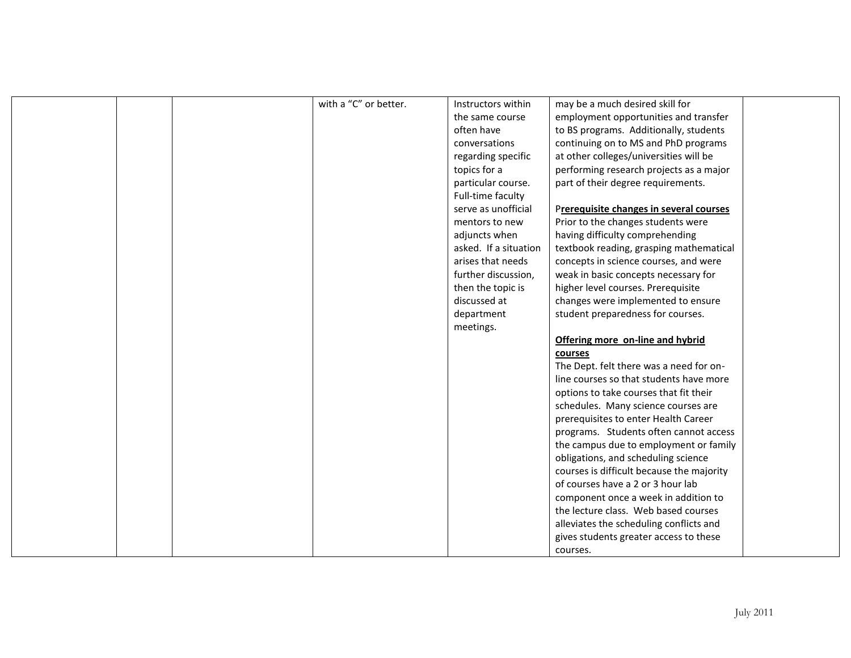| with a "C" or better.<br>Instructors within<br>may be a much desired skill for<br>employment opportunities and transfer<br>the same course<br>to BS programs. Additionally, students<br>often have<br>continuing on to MS and PhD programs<br>conversations<br>at other colleges/universities will be<br>regarding specific<br>topics for a<br>performing research projects as a major<br>part of their degree requirements.<br>particular course.<br>Full-time faculty<br>serve as unofficial<br>Prerequisite changes in several courses<br>Prior to the changes students were<br>mentors to new<br>adjuncts when<br>having difficulty comprehending<br>asked. If a situation<br>textbook reading, grasping mathematical<br>arises that needs<br>concepts in science courses, and were<br>further discussion,<br>weak in basic concepts necessary for<br>then the topic is<br>higher level courses. Prerequisite<br>discussed at<br>changes were implemented to ensure<br>department<br>student preparedness for courses.<br>meetings.<br>Offering more on-line and hybrid<br>courses<br>The Dept. felt there was a need for on-<br>line courses so that students have more<br>options to take courses that fit their<br>schedules. Many science courses are<br>prerequisites to enter Health Career<br>programs. Students often cannot access<br>the campus due to employment or family<br>obligations, and scheduling science<br>courses is difficult because the majority<br>of courses have a 2 or 3 hour lab<br>component once a week in addition to<br>the lecture class. Web based courses<br>alleviates the scheduling conflicts and<br>gives students greater access to these<br>courses. |  |  |  |  |
|-----------------------------------------------------------------------------------------------------------------------------------------------------------------------------------------------------------------------------------------------------------------------------------------------------------------------------------------------------------------------------------------------------------------------------------------------------------------------------------------------------------------------------------------------------------------------------------------------------------------------------------------------------------------------------------------------------------------------------------------------------------------------------------------------------------------------------------------------------------------------------------------------------------------------------------------------------------------------------------------------------------------------------------------------------------------------------------------------------------------------------------------------------------------------------------------------------------------------------------------------------------------------------------------------------------------------------------------------------------------------------------------------------------------------------------------------------------------------------------------------------------------------------------------------------------------------------------------------------------------------------------------------------------------------------------------------------|--|--|--|--|
|                                                                                                                                                                                                                                                                                                                                                                                                                                                                                                                                                                                                                                                                                                                                                                                                                                                                                                                                                                                                                                                                                                                                                                                                                                                                                                                                                                                                                                                                                                                                                                                                                                                                                                     |  |  |  |  |
|                                                                                                                                                                                                                                                                                                                                                                                                                                                                                                                                                                                                                                                                                                                                                                                                                                                                                                                                                                                                                                                                                                                                                                                                                                                                                                                                                                                                                                                                                                                                                                                                                                                                                                     |  |  |  |  |
|                                                                                                                                                                                                                                                                                                                                                                                                                                                                                                                                                                                                                                                                                                                                                                                                                                                                                                                                                                                                                                                                                                                                                                                                                                                                                                                                                                                                                                                                                                                                                                                                                                                                                                     |  |  |  |  |
|                                                                                                                                                                                                                                                                                                                                                                                                                                                                                                                                                                                                                                                                                                                                                                                                                                                                                                                                                                                                                                                                                                                                                                                                                                                                                                                                                                                                                                                                                                                                                                                                                                                                                                     |  |  |  |  |
|                                                                                                                                                                                                                                                                                                                                                                                                                                                                                                                                                                                                                                                                                                                                                                                                                                                                                                                                                                                                                                                                                                                                                                                                                                                                                                                                                                                                                                                                                                                                                                                                                                                                                                     |  |  |  |  |
|                                                                                                                                                                                                                                                                                                                                                                                                                                                                                                                                                                                                                                                                                                                                                                                                                                                                                                                                                                                                                                                                                                                                                                                                                                                                                                                                                                                                                                                                                                                                                                                                                                                                                                     |  |  |  |  |
|                                                                                                                                                                                                                                                                                                                                                                                                                                                                                                                                                                                                                                                                                                                                                                                                                                                                                                                                                                                                                                                                                                                                                                                                                                                                                                                                                                                                                                                                                                                                                                                                                                                                                                     |  |  |  |  |
|                                                                                                                                                                                                                                                                                                                                                                                                                                                                                                                                                                                                                                                                                                                                                                                                                                                                                                                                                                                                                                                                                                                                                                                                                                                                                                                                                                                                                                                                                                                                                                                                                                                                                                     |  |  |  |  |
|                                                                                                                                                                                                                                                                                                                                                                                                                                                                                                                                                                                                                                                                                                                                                                                                                                                                                                                                                                                                                                                                                                                                                                                                                                                                                                                                                                                                                                                                                                                                                                                                                                                                                                     |  |  |  |  |
|                                                                                                                                                                                                                                                                                                                                                                                                                                                                                                                                                                                                                                                                                                                                                                                                                                                                                                                                                                                                                                                                                                                                                                                                                                                                                                                                                                                                                                                                                                                                                                                                                                                                                                     |  |  |  |  |
|                                                                                                                                                                                                                                                                                                                                                                                                                                                                                                                                                                                                                                                                                                                                                                                                                                                                                                                                                                                                                                                                                                                                                                                                                                                                                                                                                                                                                                                                                                                                                                                                                                                                                                     |  |  |  |  |
|                                                                                                                                                                                                                                                                                                                                                                                                                                                                                                                                                                                                                                                                                                                                                                                                                                                                                                                                                                                                                                                                                                                                                                                                                                                                                                                                                                                                                                                                                                                                                                                                                                                                                                     |  |  |  |  |
|                                                                                                                                                                                                                                                                                                                                                                                                                                                                                                                                                                                                                                                                                                                                                                                                                                                                                                                                                                                                                                                                                                                                                                                                                                                                                                                                                                                                                                                                                                                                                                                                                                                                                                     |  |  |  |  |
|                                                                                                                                                                                                                                                                                                                                                                                                                                                                                                                                                                                                                                                                                                                                                                                                                                                                                                                                                                                                                                                                                                                                                                                                                                                                                                                                                                                                                                                                                                                                                                                                                                                                                                     |  |  |  |  |
|                                                                                                                                                                                                                                                                                                                                                                                                                                                                                                                                                                                                                                                                                                                                                                                                                                                                                                                                                                                                                                                                                                                                                                                                                                                                                                                                                                                                                                                                                                                                                                                                                                                                                                     |  |  |  |  |
|                                                                                                                                                                                                                                                                                                                                                                                                                                                                                                                                                                                                                                                                                                                                                                                                                                                                                                                                                                                                                                                                                                                                                                                                                                                                                                                                                                                                                                                                                                                                                                                                                                                                                                     |  |  |  |  |
|                                                                                                                                                                                                                                                                                                                                                                                                                                                                                                                                                                                                                                                                                                                                                                                                                                                                                                                                                                                                                                                                                                                                                                                                                                                                                                                                                                                                                                                                                                                                                                                                                                                                                                     |  |  |  |  |
|                                                                                                                                                                                                                                                                                                                                                                                                                                                                                                                                                                                                                                                                                                                                                                                                                                                                                                                                                                                                                                                                                                                                                                                                                                                                                                                                                                                                                                                                                                                                                                                                                                                                                                     |  |  |  |  |
|                                                                                                                                                                                                                                                                                                                                                                                                                                                                                                                                                                                                                                                                                                                                                                                                                                                                                                                                                                                                                                                                                                                                                                                                                                                                                                                                                                                                                                                                                                                                                                                                                                                                                                     |  |  |  |  |
|                                                                                                                                                                                                                                                                                                                                                                                                                                                                                                                                                                                                                                                                                                                                                                                                                                                                                                                                                                                                                                                                                                                                                                                                                                                                                                                                                                                                                                                                                                                                                                                                                                                                                                     |  |  |  |  |
|                                                                                                                                                                                                                                                                                                                                                                                                                                                                                                                                                                                                                                                                                                                                                                                                                                                                                                                                                                                                                                                                                                                                                                                                                                                                                                                                                                                                                                                                                                                                                                                                                                                                                                     |  |  |  |  |
|                                                                                                                                                                                                                                                                                                                                                                                                                                                                                                                                                                                                                                                                                                                                                                                                                                                                                                                                                                                                                                                                                                                                                                                                                                                                                                                                                                                                                                                                                                                                                                                                                                                                                                     |  |  |  |  |
|                                                                                                                                                                                                                                                                                                                                                                                                                                                                                                                                                                                                                                                                                                                                                                                                                                                                                                                                                                                                                                                                                                                                                                                                                                                                                                                                                                                                                                                                                                                                                                                                                                                                                                     |  |  |  |  |
|                                                                                                                                                                                                                                                                                                                                                                                                                                                                                                                                                                                                                                                                                                                                                                                                                                                                                                                                                                                                                                                                                                                                                                                                                                                                                                                                                                                                                                                                                                                                                                                                                                                                                                     |  |  |  |  |
|                                                                                                                                                                                                                                                                                                                                                                                                                                                                                                                                                                                                                                                                                                                                                                                                                                                                                                                                                                                                                                                                                                                                                                                                                                                                                                                                                                                                                                                                                                                                                                                                                                                                                                     |  |  |  |  |
|                                                                                                                                                                                                                                                                                                                                                                                                                                                                                                                                                                                                                                                                                                                                                                                                                                                                                                                                                                                                                                                                                                                                                                                                                                                                                                                                                                                                                                                                                                                                                                                                                                                                                                     |  |  |  |  |
|                                                                                                                                                                                                                                                                                                                                                                                                                                                                                                                                                                                                                                                                                                                                                                                                                                                                                                                                                                                                                                                                                                                                                                                                                                                                                                                                                                                                                                                                                                                                                                                                                                                                                                     |  |  |  |  |
|                                                                                                                                                                                                                                                                                                                                                                                                                                                                                                                                                                                                                                                                                                                                                                                                                                                                                                                                                                                                                                                                                                                                                                                                                                                                                                                                                                                                                                                                                                                                                                                                                                                                                                     |  |  |  |  |
|                                                                                                                                                                                                                                                                                                                                                                                                                                                                                                                                                                                                                                                                                                                                                                                                                                                                                                                                                                                                                                                                                                                                                                                                                                                                                                                                                                                                                                                                                                                                                                                                                                                                                                     |  |  |  |  |
|                                                                                                                                                                                                                                                                                                                                                                                                                                                                                                                                                                                                                                                                                                                                                                                                                                                                                                                                                                                                                                                                                                                                                                                                                                                                                                                                                                                                                                                                                                                                                                                                                                                                                                     |  |  |  |  |
|                                                                                                                                                                                                                                                                                                                                                                                                                                                                                                                                                                                                                                                                                                                                                                                                                                                                                                                                                                                                                                                                                                                                                                                                                                                                                                                                                                                                                                                                                                                                                                                                                                                                                                     |  |  |  |  |
|                                                                                                                                                                                                                                                                                                                                                                                                                                                                                                                                                                                                                                                                                                                                                                                                                                                                                                                                                                                                                                                                                                                                                                                                                                                                                                                                                                                                                                                                                                                                                                                                                                                                                                     |  |  |  |  |
|                                                                                                                                                                                                                                                                                                                                                                                                                                                                                                                                                                                                                                                                                                                                                                                                                                                                                                                                                                                                                                                                                                                                                                                                                                                                                                                                                                                                                                                                                                                                                                                                                                                                                                     |  |  |  |  |
|                                                                                                                                                                                                                                                                                                                                                                                                                                                                                                                                                                                                                                                                                                                                                                                                                                                                                                                                                                                                                                                                                                                                                                                                                                                                                                                                                                                                                                                                                                                                                                                                                                                                                                     |  |  |  |  |
|                                                                                                                                                                                                                                                                                                                                                                                                                                                                                                                                                                                                                                                                                                                                                                                                                                                                                                                                                                                                                                                                                                                                                                                                                                                                                                                                                                                                                                                                                                                                                                                                                                                                                                     |  |  |  |  |

Ξ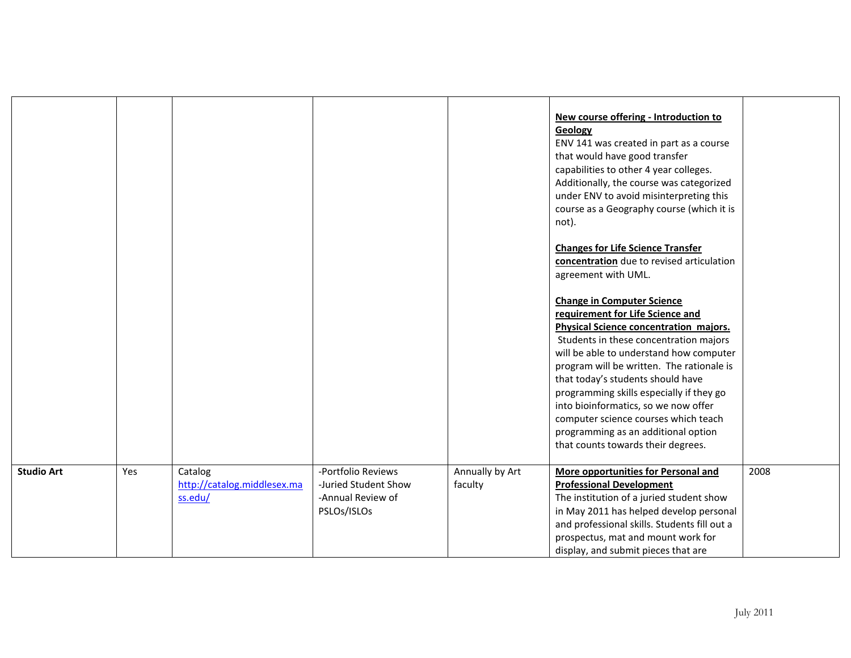|                   |     |                                                   |                                                                                |                            | New course offering - Introduction to<br>Geology<br>ENV 141 was created in part as a course<br>that would have good transfer<br>capabilities to other 4 year colleges.<br>Additionally, the course was categorized<br>under ENV to avoid misinterpreting this<br>course as a Geography course (which it is<br>not).<br><b>Changes for Life Science Transfer</b><br>concentration due to revised articulation<br>agreement with UML.<br><b>Change in Computer Science</b><br>requirement for Life Science and<br><b>Physical Science concentration majors.</b><br>Students in these concentration majors<br>will be able to understand how computer<br>program will be written. The rationale is<br>that today's students should have<br>programming skills especially if they go<br>into bioinformatics, so we now offer<br>computer science courses which teach<br>programming as an additional option<br>that counts towards their degrees. |      |
|-------------------|-----|---------------------------------------------------|--------------------------------------------------------------------------------|----------------------------|-----------------------------------------------------------------------------------------------------------------------------------------------------------------------------------------------------------------------------------------------------------------------------------------------------------------------------------------------------------------------------------------------------------------------------------------------------------------------------------------------------------------------------------------------------------------------------------------------------------------------------------------------------------------------------------------------------------------------------------------------------------------------------------------------------------------------------------------------------------------------------------------------------------------------------------------------|------|
| <b>Studio Art</b> | Yes | Catalog<br>http://catalog.middlesex.ma<br>ss.edu/ | -Portfolio Reviews<br>-Juried Student Show<br>-Annual Review of<br>PSLOs/ISLOs | Annually by Art<br>faculty | More opportunities for Personal and<br><b>Professional Development</b><br>The institution of a juried student show<br>in May 2011 has helped develop personal<br>and professional skills. Students fill out a<br>prospectus, mat and mount work for<br>display, and submit pieces that are                                                                                                                                                                                                                                                                                                                                                                                                                                                                                                                                                                                                                                                    | 2008 |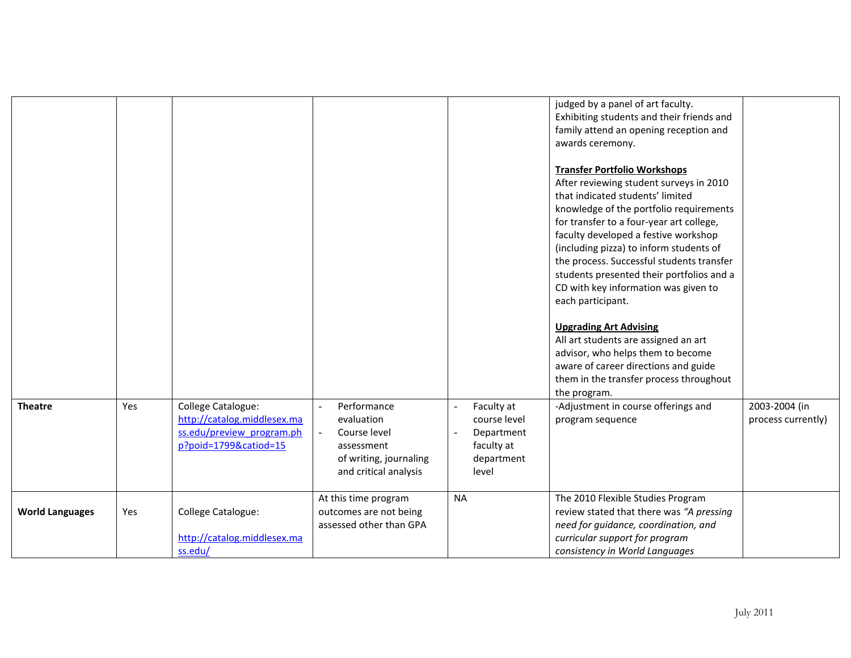|                        |     |                                                                                                         |                                                                                                            |                                                                               | judged by a panel of art faculty.<br>Exhibiting students and their friends and<br>family attend an opening reception and<br>awards ceremony.<br><b>Transfer Portfolio Workshops</b><br>After reviewing student surveys in 2010<br>that indicated students' limited<br>knowledge of the portfolio requirements<br>for transfer to a four-year art college,<br>faculty developed a festive workshop<br>(including pizza) to inform students of<br>the process. Successful students transfer<br>students presented their portfolios and a<br>CD with key information was given to<br>each participant.<br><b>Upgrading Art Advising</b><br>All art students are assigned an art<br>advisor, who helps them to become<br>aware of career directions and guide |                                     |
|------------------------|-----|---------------------------------------------------------------------------------------------------------|------------------------------------------------------------------------------------------------------------|-------------------------------------------------------------------------------|-----------------------------------------------------------------------------------------------------------------------------------------------------------------------------------------------------------------------------------------------------------------------------------------------------------------------------------------------------------------------------------------------------------------------------------------------------------------------------------------------------------------------------------------------------------------------------------------------------------------------------------------------------------------------------------------------------------------------------------------------------------|-------------------------------------|
|                        |     |                                                                                                         |                                                                                                            |                                                                               | them in the transfer process throughout<br>the program.                                                                                                                                                                                                                                                                                                                                                                                                                                                                                                                                                                                                                                                                                                   |                                     |
| <b>Theatre</b>         | Yes | College Catalogue:<br>http://catalog.middlesex.ma<br>ss.edu/preview program.ph<br>p?poid=1799&catiod=15 | Performance<br>evaluation<br>Course level<br>assessment<br>of writing, journaling<br>and critical analysis | Faculty at<br>course level<br>Department<br>faculty at<br>department<br>level | -Adjustment in course offerings and<br>program sequence                                                                                                                                                                                                                                                                                                                                                                                                                                                                                                                                                                                                                                                                                                   | 2003-2004 (in<br>process currently) |
| <b>World Languages</b> | Yes | College Catalogue:<br>http://catalog.middlesex.ma<br>ss.edu/                                            | At this time program<br>outcomes are not being<br>assessed other than GPA                                  | <b>NA</b>                                                                     | The 2010 Flexible Studies Program<br>review stated that there was "A pressing<br>need for guidance, coordination, and<br>curricular support for program<br>consistency in World Languages                                                                                                                                                                                                                                                                                                                                                                                                                                                                                                                                                                 |                                     |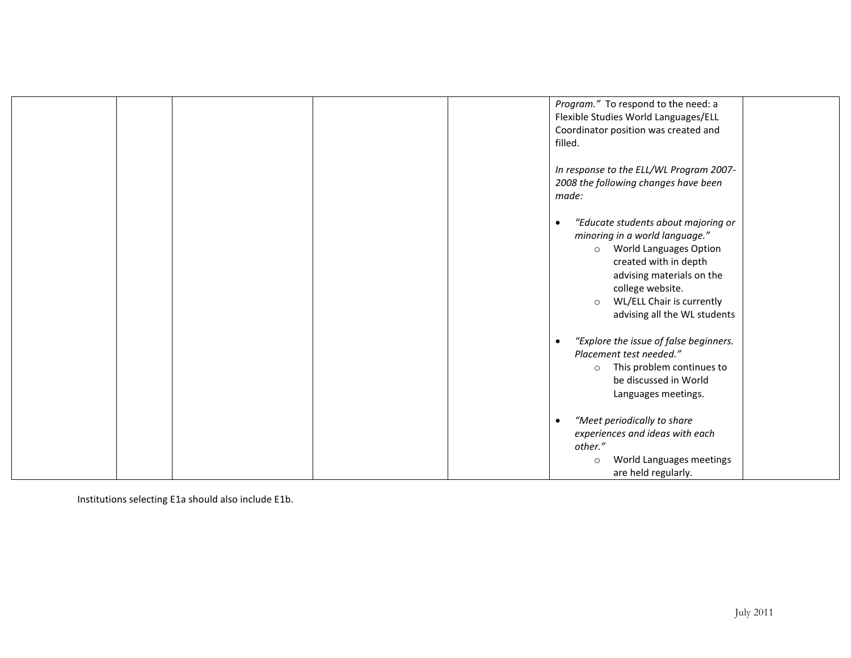|  |  | Program." To respond to the need: a<br>Flexible Studies World Languages/ELL<br>Coordinator position was created and<br>filled.                                                                                                                                                   |  |
|--|--|----------------------------------------------------------------------------------------------------------------------------------------------------------------------------------------------------------------------------------------------------------------------------------|--|
|  |  | In response to the ELL/WL Program 2007-<br>2008 the following changes have been<br>made:                                                                                                                                                                                         |  |
|  |  | "Educate students about majoring or<br>$\bullet$<br>minoring in a world language."<br><b>World Languages Option</b><br>$\circ$<br>created with in depth<br>advising materials on the<br>college website.<br>WL/ELL Chair is currently<br>$\circ$<br>advising all the WL students |  |
|  |  | "Explore the issue of false beginners.<br>$\bullet$<br>Placement test needed."<br>This problem continues to<br>$\circ$<br>be discussed in World<br>Languages meetings.                                                                                                           |  |
|  |  | "Meet periodically to share<br>$\bullet$<br>experiences and ideas with each<br>other."<br>World Languages meetings<br>$\circ$<br>are held regularly.                                                                                                                             |  |

Institutions selecting E1a should also include E1b.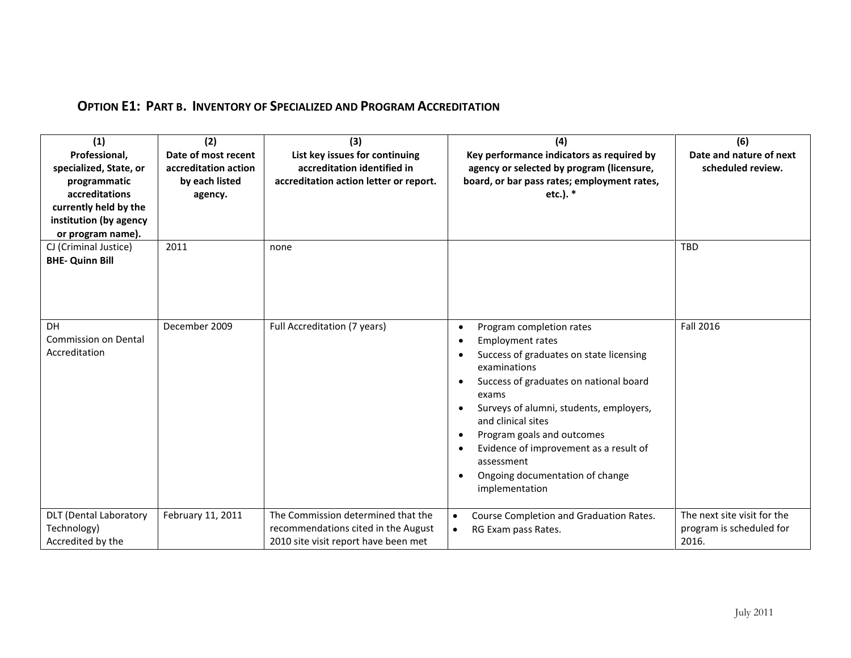| (1)                           | (2)                  | (3)                                    | (4)                                                                             | (6)                         |
|-------------------------------|----------------------|----------------------------------------|---------------------------------------------------------------------------------|-----------------------------|
| Professional,                 | Date of most recent  | List key issues for continuing         | Key performance indicators as required by                                       | Date and nature of next     |
| specialized, State, or        | accreditation action | accreditation identified in            | agency or selected by program (licensure,                                       | scheduled review.           |
| programmatic                  | by each listed       | accreditation action letter or report. | board, or bar pass rates; employment rates,                                     |                             |
| accreditations                | agency.              |                                        | etc.). *                                                                        |                             |
| currently held by the         |                      |                                        |                                                                                 |                             |
| institution (by agency        |                      |                                        |                                                                                 |                             |
| or program name).             |                      |                                        |                                                                                 |                             |
| CJ (Criminal Justice)         | 2011                 | none                                   |                                                                                 | <b>TBD</b>                  |
| <b>BHE- Quinn Bill</b>        |                      |                                        |                                                                                 |                             |
|                               |                      |                                        |                                                                                 |                             |
|                               |                      |                                        |                                                                                 |                             |
|                               |                      |                                        |                                                                                 |                             |
| <b>DH</b>                     | December 2009        |                                        |                                                                                 | Fall 2016                   |
| <b>Commission on Dental</b>   |                      | Full Accreditation (7 years)           | Program completion rates<br>$\bullet$                                           |                             |
| Accreditation                 |                      |                                        | <b>Employment rates</b><br>Success of graduates on state licensing<br>$\bullet$ |                             |
|                               |                      |                                        | examinations                                                                    |                             |
|                               |                      |                                        | Success of graduates on national board                                          |                             |
|                               |                      |                                        | exams                                                                           |                             |
|                               |                      |                                        | Surveys of alumni, students, employers,                                         |                             |
|                               |                      |                                        | and clinical sites                                                              |                             |
|                               |                      |                                        | Program goals and outcomes                                                      |                             |
|                               |                      |                                        | Evidence of improvement as a result of                                          |                             |
|                               |                      |                                        | assessment                                                                      |                             |
|                               |                      |                                        | Ongoing documentation of change                                                 |                             |
|                               |                      |                                        | implementation                                                                  |                             |
|                               |                      |                                        |                                                                                 |                             |
| <b>DLT</b> (Dental Laboratory | February 11, 2011    | The Commission determined that the     | Course Completion and Graduation Rates.<br>$\bullet$                            | The next site visit for the |
| Technology)                   |                      | recommendations cited in the August    | RG Exam pass Rates.<br>$\bullet$                                                | program is scheduled for    |
| Accredited by the             |                      | 2010 site visit report have been met   |                                                                                 | 2016.                       |

## **OPTION E1: PART B. INVENTORY OF SPECIALIZED AND PROGRAM ACCREDITATION**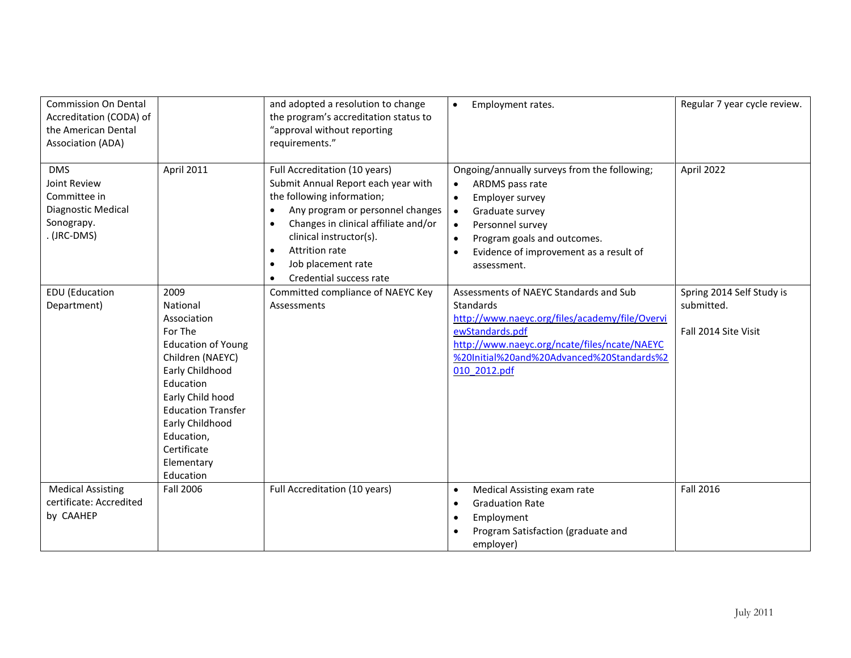| <b>Commission On Dental</b><br>Accreditation (CODA) of<br>the American Dental<br>Association (ADA) |                                                                                                                                                                                                                                                         | and adopted a resolution to change<br>the program's accreditation status to<br>"approval without reporting<br>requirements."                                                                                                                                                                                                                  | Employment rates.<br>$\bullet$                                                                                                                                                                                                                                                                  | Regular 7 year cycle review.                                    |
|----------------------------------------------------------------------------------------------------|---------------------------------------------------------------------------------------------------------------------------------------------------------------------------------------------------------------------------------------------------------|-----------------------------------------------------------------------------------------------------------------------------------------------------------------------------------------------------------------------------------------------------------------------------------------------------------------------------------------------|-------------------------------------------------------------------------------------------------------------------------------------------------------------------------------------------------------------------------------------------------------------------------------------------------|-----------------------------------------------------------------|
| <b>DMS</b><br>Joint Review<br>Committee in<br>Diagnostic Medical<br>Sonograpy.<br>. (JRC-DMS)      | <b>April 2011</b>                                                                                                                                                                                                                                       | Full Accreditation (10 years)<br>Submit Annual Report each year with<br>the following information;<br>Any program or personnel changes<br>$\bullet$<br>Changes in clinical affiliate and/or<br>$\bullet$<br>clinical instructor(s).<br>Attrition rate<br>$\bullet$<br>Job placement rate<br>$\bullet$<br>Credential success rate<br>$\bullet$ | Ongoing/annually surveys from the following;<br>ARDMS pass rate<br>$\bullet$<br>Employer survey<br>$\bullet$<br>Graduate survey<br>$\bullet$<br>Personnel survey<br>$\bullet$<br>Program goals and outcomes.<br>$\bullet$<br>Evidence of improvement as a result of<br>$\bullet$<br>assessment. | April 2022                                                      |
| <b>EDU</b> (Education<br>Department)                                                               | 2009<br>National<br>Association<br>For The<br><b>Education of Young</b><br>Children (NAEYC)<br>Early Childhood<br>Education<br>Early Child hood<br><b>Education Transfer</b><br>Early Childhood<br>Education,<br>Certificate<br>Elementary<br>Education | Committed compliance of NAEYC Key<br>Assessments                                                                                                                                                                                                                                                                                              | Assessments of NAEYC Standards and Sub<br><b>Standards</b><br>http://www.naeyc.org/files/academy/file/Overvi<br>ewStandards.pdf<br>http://www.naeyc.org/ncate/files/ncate/NAEYC<br>%20Initial%20and%20Advanced%20Standards%2<br>010 2012.pdf                                                    | Spring 2014 Self Study is<br>submitted.<br>Fall 2014 Site Visit |
| <b>Medical Assisting</b><br>certificate: Accredited<br>by CAAHEP                                   | <b>Fall 2006</b>                                                                                                                                                                                                                                        | Full Accreditation (10 years)                                                                                                                                                                                                                                                                                                                 | Medical Assisting exam rate<br>٠<br><b>Graduation Rate</b><br>٠<br>Employment<br>٠<br>Program Satisfaction (graduate and<br>employer)                                                                                                                                                           | Fall 2016                                                       |